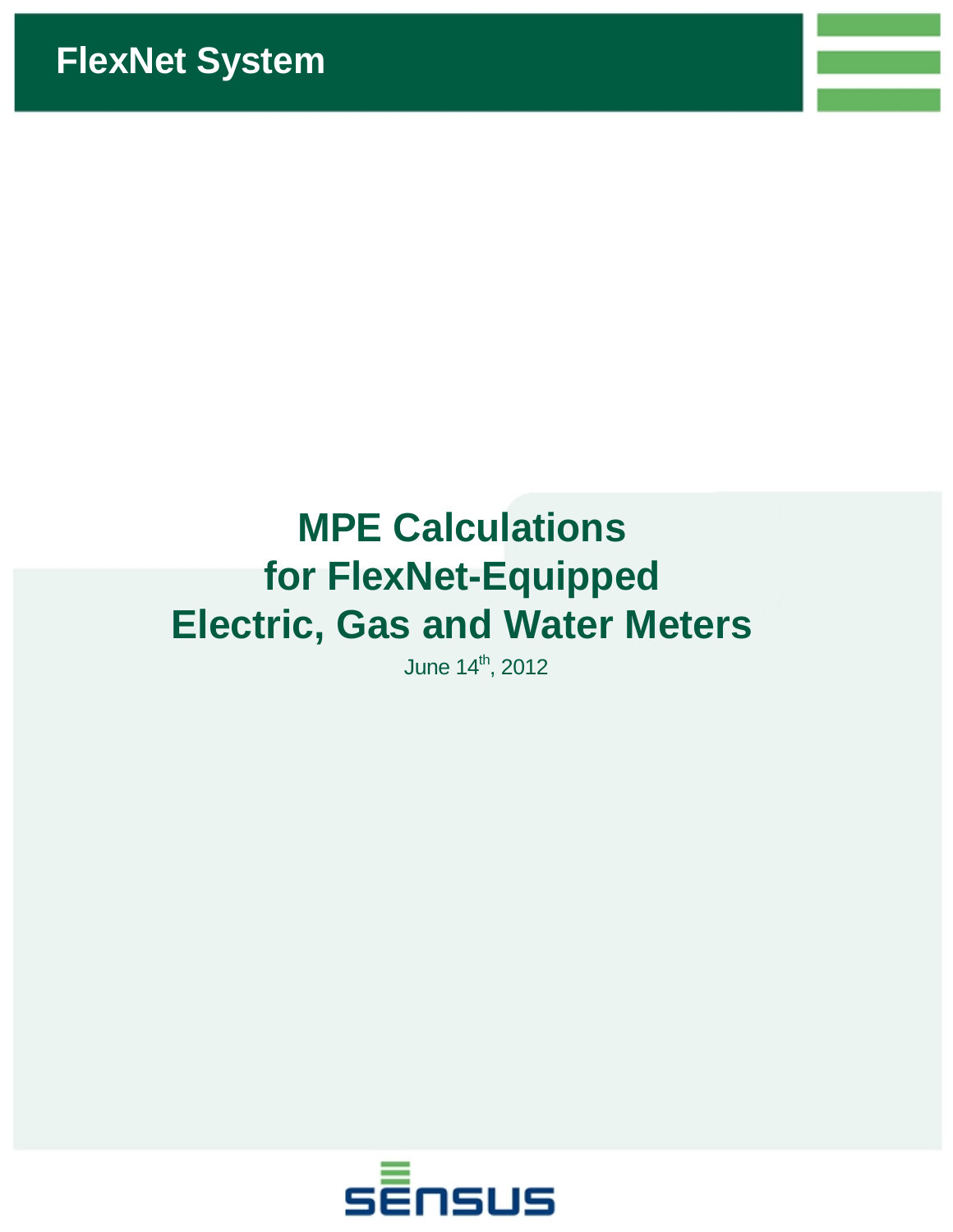# **MPE Calculations for FlexNet-Equipped Electric, Gas and Water Meters**

June 14<sup>th</sup>, 2012

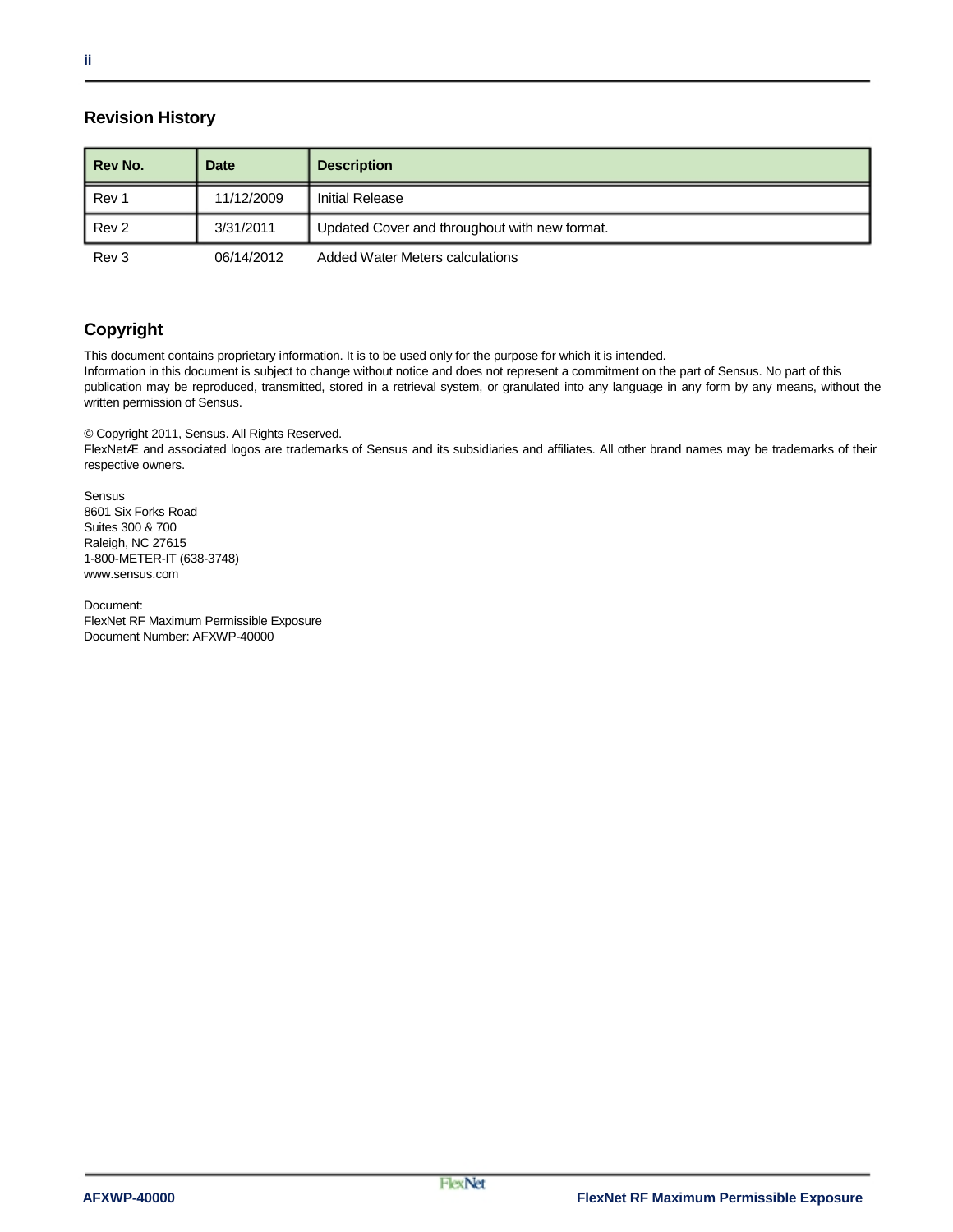#### **Revision History**

| l Rev No. | <b>Date</b> | <b>Description</b>                            |
|-----------|-------------|-----------------------------------------------|
| I Rev 1   | 11/12/2009  | <b>Initial Release</b>                        |
| l Rev 2   | 3/31/2011   | Updated Cover and throughout with new format. |
| Rev 3     | 06/14/2012  | <b>Added Water Meters calculations</b>        |

#### **Copyright**

This document contains proprietary information. It is to be used only for the purpose for which it is intended.

Information in this document is subject to change without notice and does not represent a commitment on the part of Sensus. No part of this publication may be reproduced, transmitted, stored in a retrieval system, or granulated into any language in any form by any means, without the written permission of Sensus.

© Copyright 2011, Sensus. All Rights Reserved.

FlexNetÆ and associated logos are trademarks of Sensus and its subsidiaries and affiliates. All other brand names may be trademarks of their respective owners.

Sensus 8601 Six Forks Road Suites 300 & 700 Raleigh, NC 27615 1-800-METER-IT (638-3748) www.sensus.com

Document: FlexNet RF Maximum Permissible Exposure Document Number: AFXWP-40000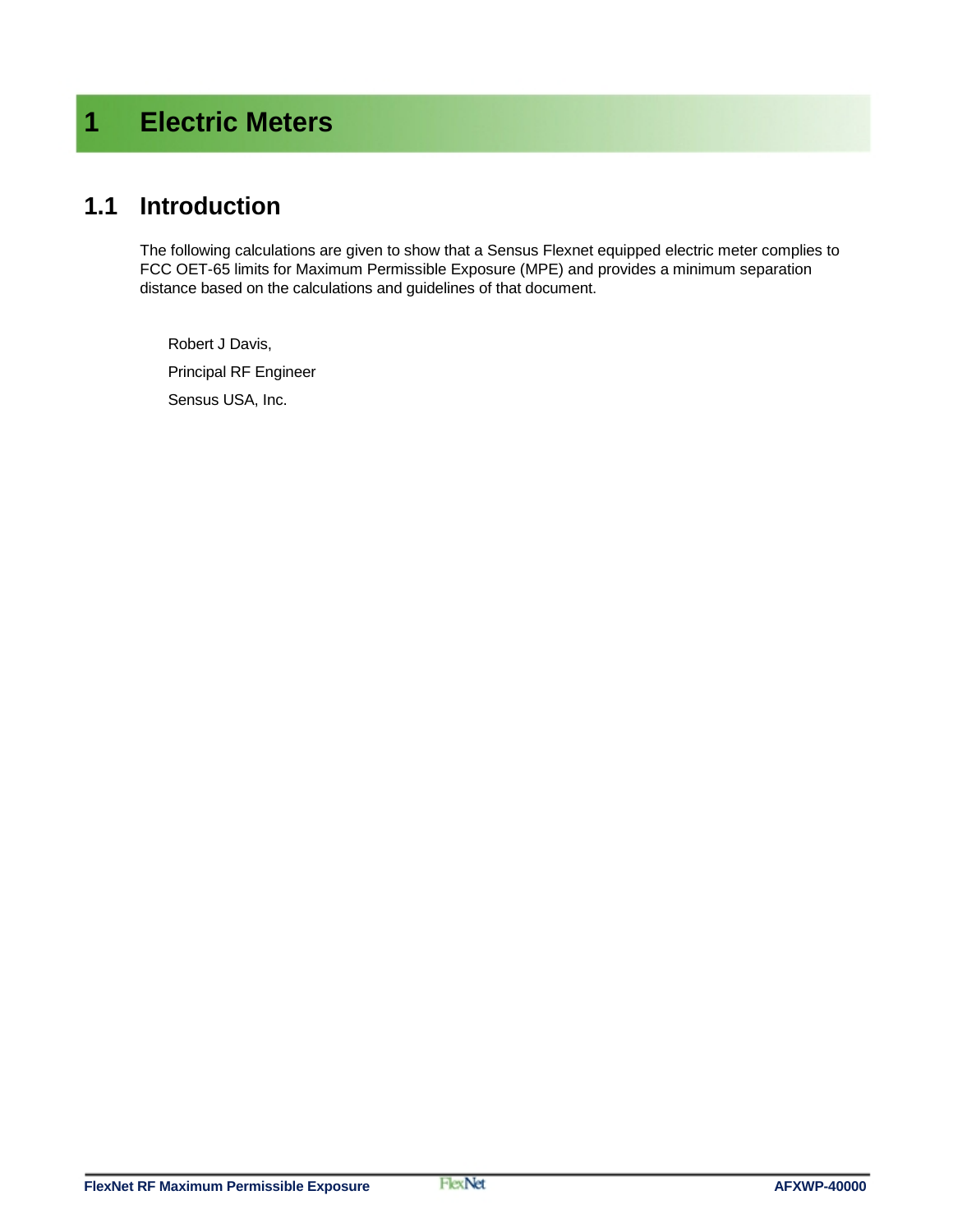# **1 Electric Meters**

### **1.1 Introduction**

The following calculations are given to show that a Sensus Flexnet equipped electric meter complies to FCC OET-65 limits for Maximum Permissible Exposure (MPE) and provides a minimum separation distance based on the calculations and guidelines of that document.

Robert J Davis, Principal RF Engineer Sensus USA, Inc.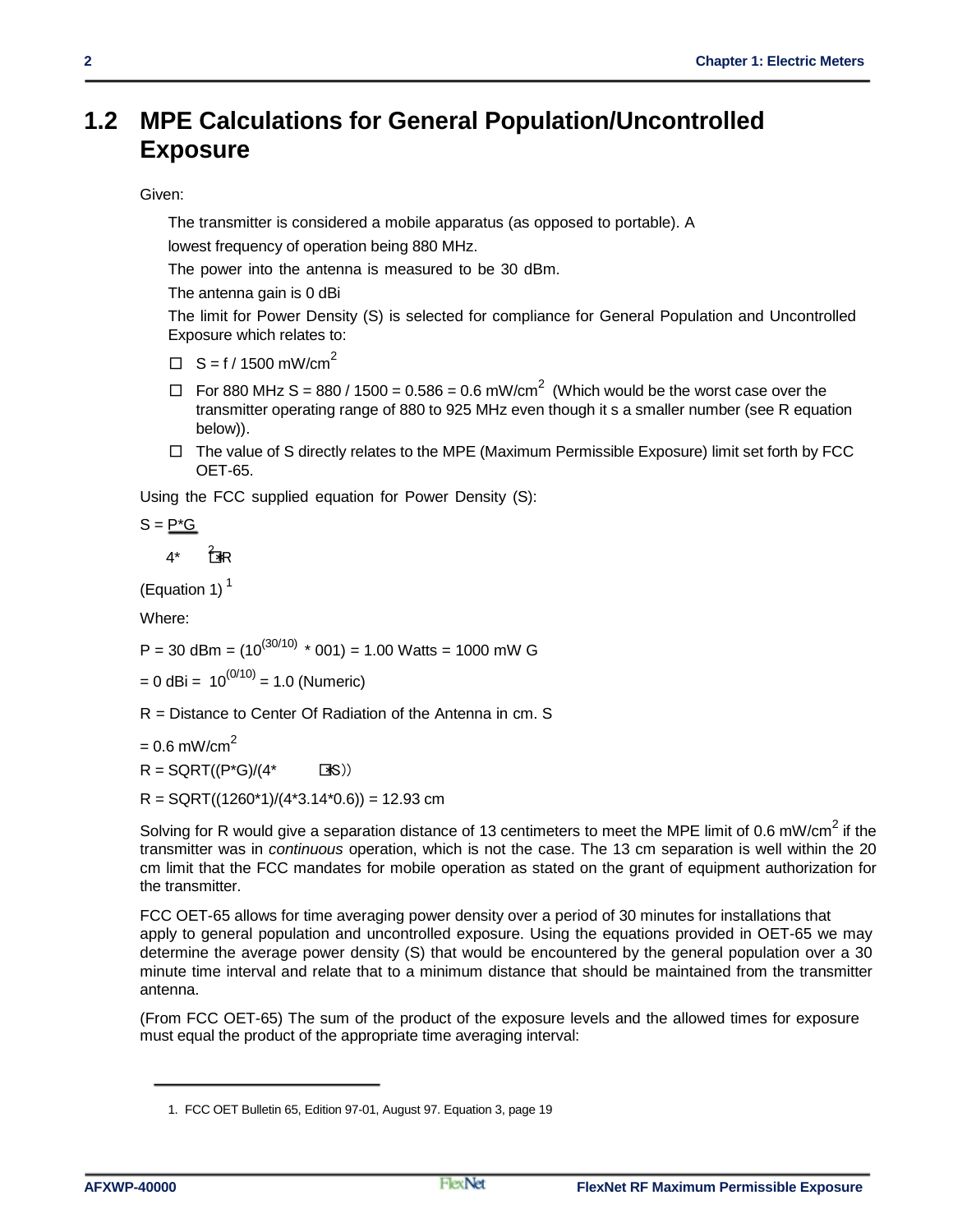### **1.2 MPE Calculations for General Population/Uncontrolled Exposure**

#### Given:

The transmitter is considered a mobile apparatus (as opposed to portable). A

lowest frequency of operation being 880 MHz.

The power into the antenna is measured to be 30 dBm.

The antenna gain is 0 dBi

The limit for Power Density (S) is selected for compliance for General Population and Uncontrolled Exposure which relates to:

 $\Box$  S = f / 1500 mW/cm<sup>2</sup>

- $\Box$  For 880 MHz S = 880 / 1500 = 0.586 = 0.6 mW/cm<sup>2</sup> (Which would be the worst case over the transmitter operating range of 880 to 925 MHz even though it s a smaller number (see R equation below)).
- $\Box$  The value of S directly relates to the MPE (Maximum Permissible Exposure) limit set forth by FCC OET-65.

Using the FCC supplied equation for Power Density (S):

$$
S = \underline{P^*G}
$$

 $4^*$   $7^*$ 

(Equation 1) $<sup>1</sup>$ </sup>

Where:

 $P = 30$  dBm =  $(10^{(30/10)}$  \* 001) = 1.00 Watts = 1000 mW G

 $= 0$  dBi =  $10^{(0/10)} = 1.0$  (Numeric)

R = Distance to Center Of Radiation of the Antenna in cm. S

 $= 0.6$  mW/cm<sup>2</sup>

 $R = \text{SGRT}((P^*G)/(4^* \text{S}))$ 

 $R =$  SQRT((1260\*1)/(4\*3.14\*0.6)) = 12.93 cm

Solving for R would give a separation distance of 13 centimeters to meet the MPE limit of 0.6 mW/cm<sup>2</sup> if the transmitter was in *continuous* operation, which is not the case. The 13 cm separation is well within the 20 cm limit that the FCC mandates for mobile operation as stated on the grant of equipment authorization for the transmitter.

FCC OET-65 allows for time averaging power density over a period of 30 minutes for installations that apply to general population and uncontrolled exposure. Using the equations provided in OET-65 we may determine the average power density (S) that would be encountered by the general population over a 30 minute time interval and relate that to a minimum distance that should be maintained from the transmitter antenna.

(From FCC OET-65) The sum of the product of the exposure levels and the allowed times for exposure must equal the product of the appropriate time averaging interval:

<sup>1.</sup> FCC OET Bulletin 65, Edition 97-01, August 97. Equation 3, page 19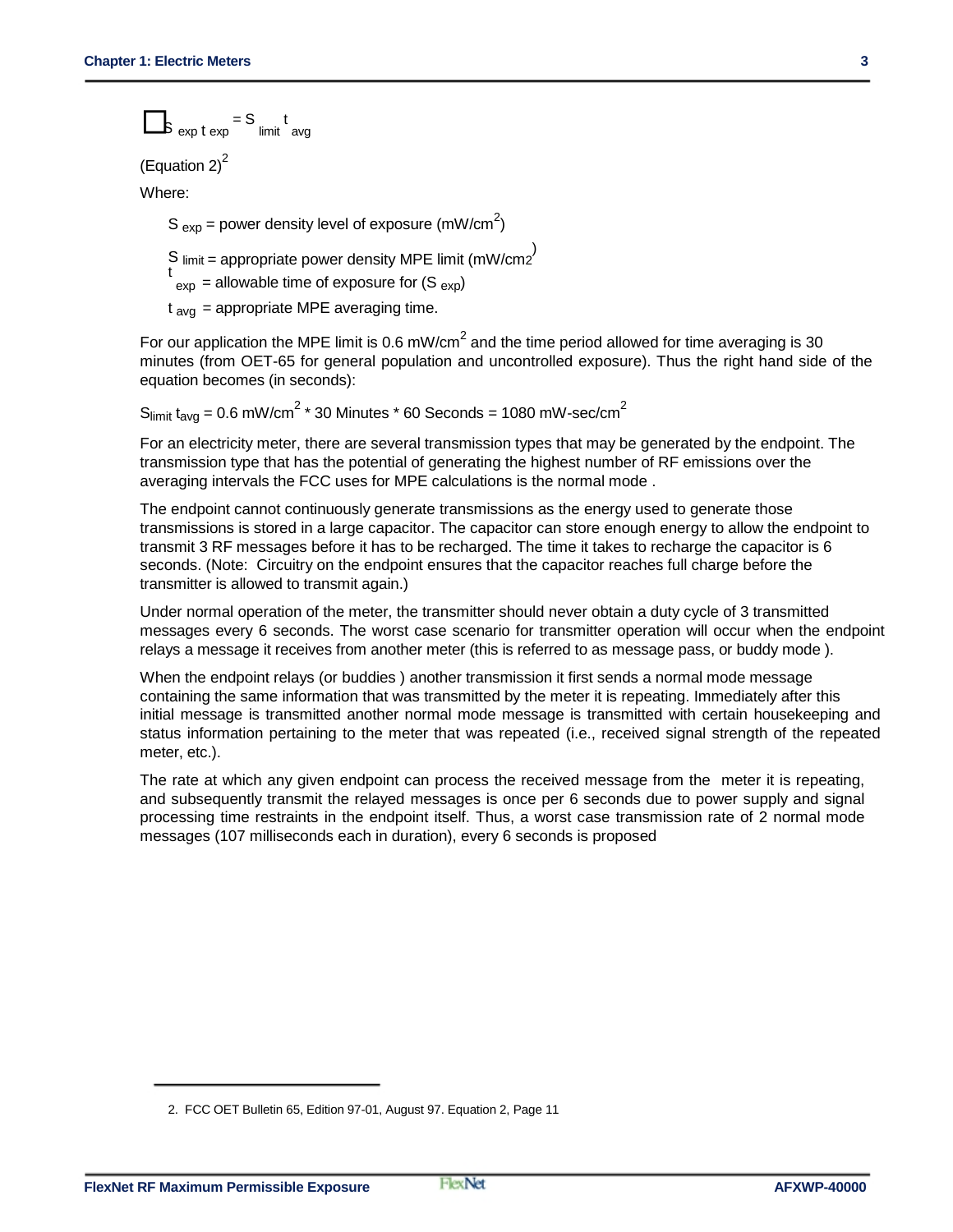$$
S_{\exp t \exp} = S_{\text{limit}} t_{\text{avg}}
$$

(Equation  $2)^2$ 

Where:

S  $_{exp}$  = power density level of exposure (mW/cm<sup>2</sup>)

S limit = appropriate power density MPE limit  $\left(\frac{mW/cm2}{m}\right)$ 

 $t_{\text{exp}}$  = allowable time of exposure for (S  $_{\text{exp}}$ )

 $t<sub>av</sub>$  = appropriate MPE averaging time.

For our application the MPE limit is 0.6 mW/cm<sup>2</sup> and the time period allowed for time averaging is 30 minutes (from OET-65 for general population and uncontrolled exposure). Thus the right hand side of the equation becomes (in seconds):

 $S_{limit}$  t<sub>avg</sub> = 0.6 mW/cm<sup>2</sup>  $*$  30 Minutes  $*$  60 Seconds = 1080 mW-sec/cm<sup>2</sup>

For an electricity meter, there are several transmission types that may be generated by the endpoint. The transmission type that has the potential of generating the highest number of RF emissions over the averaging intervals the FCC uses for MPE calculations is the normal mode .

The endpoint cannot continuously generate transmissions as the energy used to generate those transmissions is stored in a large capacitor. The capacitor can store enough energy to allow the endpoint to transmit 3 RF messages before it has to be recharged. The time it takes to recharge the capacitor is 6 seconds. (Note: Circuitry on the endpoint ensures that the capacitor reaches full charge before the transmitter is allowed to transmit again.)

Under normal operation of the meter, the transmitter should never obtain a duty cycle of 3 transmitted messages every 6 seconds. The worst case scenario for transmitter operation will occur when the endpoint relays a message it receives from another meter (this is referred to as message pass, or buddy mode ).

When the endpoint relays (or buddies ) another transmission it first sends a normal mode message containing the same information that was transmitted by the meter it is repeating. Immediately after this initial message is transmitted another normal mode message is transmitted with certain housekeeping and status information pertaining to the meter that was repeated (i.e., received signal strength of the repeated meter, etc.).

The rate at which any given endpoint can process the received message from the meter it is repeating, and subsequently transmit the relayed messages is once per 6 seconds due to power supply and signal processing time restraints in the endpoint itself. Thus, a worst case transmission rate of 2 normal mode messages (107 milliseconds each in duration), every 6 seconds is proposed

<sup>2.</sup> FCC OET Bulletin 65, Edition 97-01, August 97. Equation 2, Page 11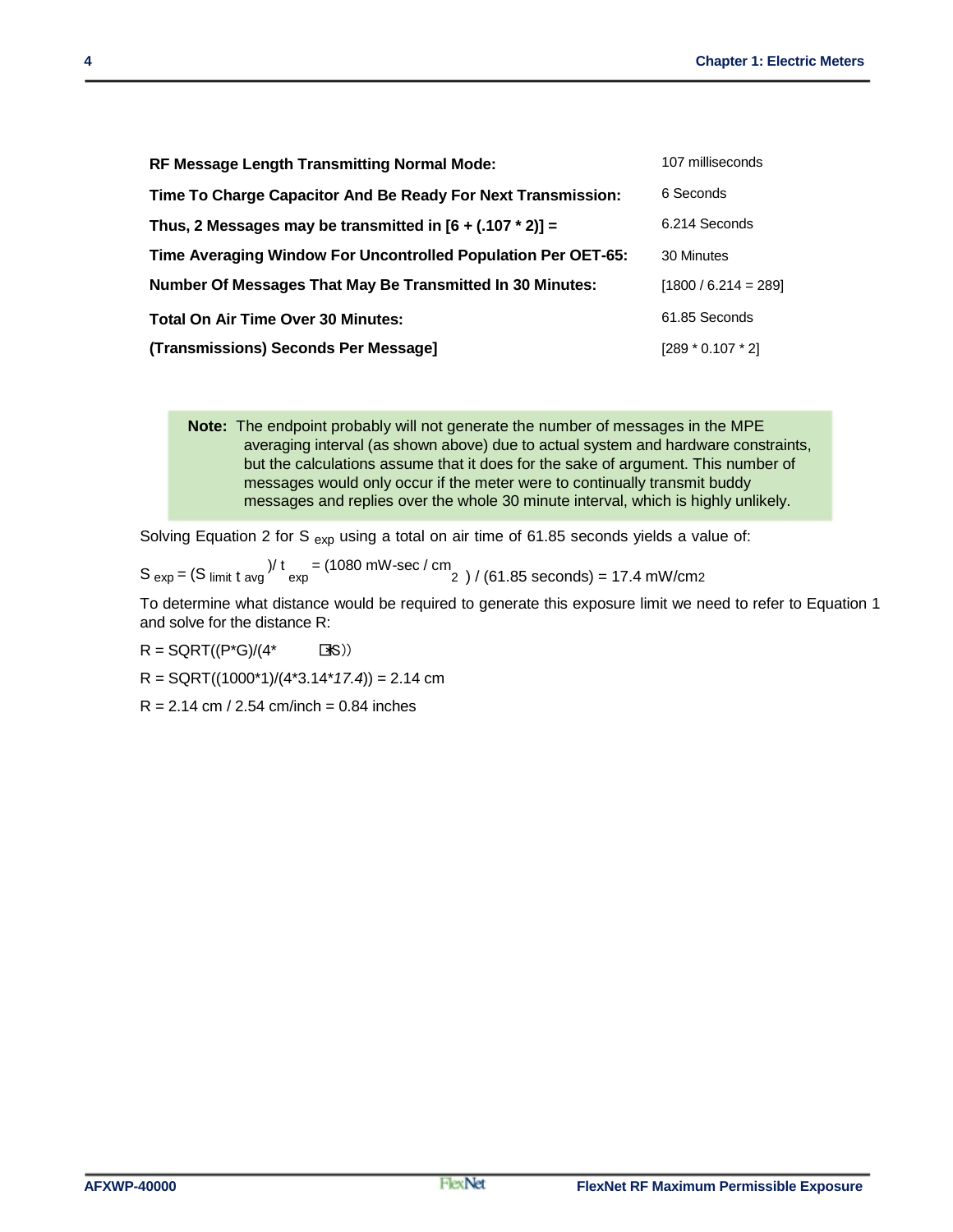| <b>RF Message Length Transmitting Normal Mode:</b>               | 107 milliseconds       |
|------------------------------------------------------------------|------------------------|
| Time To Charge Capacitor And Be Ready For Next Transmission:     | 6 Seconds              |
| Thus, 2 Messages may be transmitted in $[6 + (.107 * 2)] =$      | 6.214 Seconds          |
| Time Averaging Window For Uncontrolled Population Per OET-65:    | 30 Minutes             |
| <b>Number Of Messages That May Be Transmitted In 30 Minutes:</b> | $[1800 / 6.214 = 289]$ |
| <b>Total On Air Time Over 30 Minutes:</b>                        | 61.85 Seconds          |
| (Transmissions) Seconds Per Message]                             | $[289 * 0.107 * 2]$    |

**Note:** The endpoint probably will not generate the number of messages in the MPE averaging interval (as shown above) due to actual system and hardware constraints, but the calculations assume that it does for the sake of argument. This number of messages would only occur if the meter were to continually transmit buddy messages and replies over the whole 30 minute interval, which is highly unlikely.

Solving Equation 2 for S  $_{exp}$  using a total on air time of 61.85 seconds yields a value of:

 $S_{\text{exp}} = (S_{\text{limit}} t_{\text{avg}})^{1} t_{\text{exp}} = (1080 \text{ mW-sec} / \text{cm}^2) / (61.85 \text{ seconds}) = 17.4 \text{ mW/cm2}$ 

To determine what distance would be required to generate this exposure limit we need to refer to Equation 1 and solve for the distance R:

 $R = \text{SGRT}((P^*G)/(4^* \qquad \text{TS}))$ 

R = SQRT((1000\*1)/(4\*3.14\**17.4*)) = 2.14 cm

 $R = 2.14$  cm / 2.54 cm/inch = 0.84 inches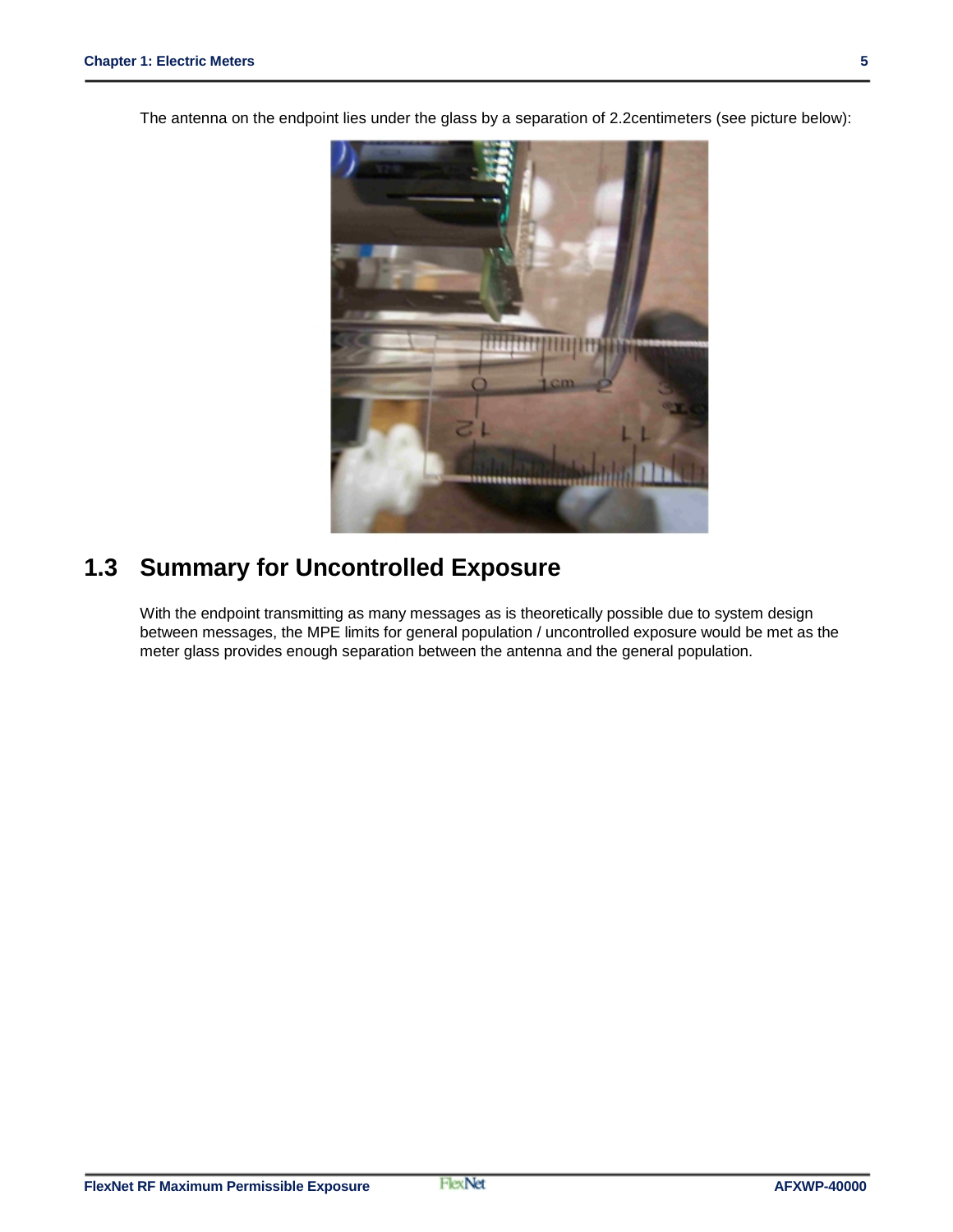The antenna on the endpoint lies under the glass by a separation of 2.2centimeters (see picture below):



### **1.3 Summary for Uncontrolled Exposure**

With the endpoint transmitting as many messages as is theoretically possible due to system design between messages, the MPE limits for general population / uncontrolled exposure would be met as the meter glass provides enough separation between the antenna and the general population.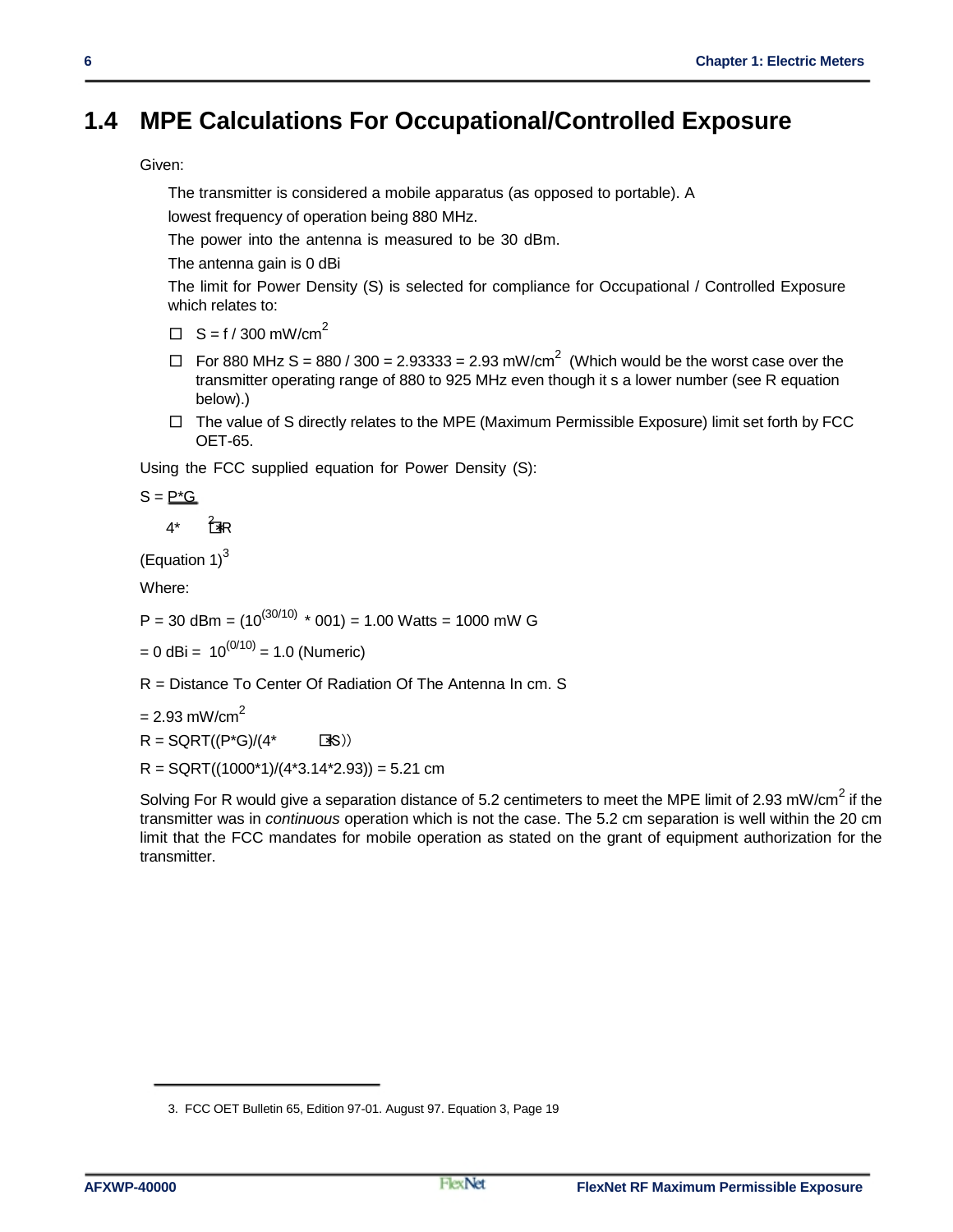### **1.4 MPE Calculations For Occupational/Controlled Exposure**

Given:

The transmitter is considered a mobile apparatus (as opposed to portable). A

lowest frequency of operation being 880 MHz.

The power into the antenna is measured to be 30 dBm.

The antenna gain is 0 dBi

The limit for Power Density (S) is selected for compliance for Occupational / Controlled Exposure which relates to:

- $\Box$  S = f / 300 mW/cm<sup>2</sup>
- $\Box$  For 880 MHz S = 880 / 300 = 2.93333 = 2.93 mW/cm<sup>2</sup> (Which would be the worst case over the transmitter operating range of 880 to 925 MHz even though it s a lower number (see R equation below).)
- $\Box$  The value of S directly relates to the MPE (Maximum Permissible Exposure) limit set forth by FCC OET-65.

Using the FCC supplied equation for Power Density (S):

 $S = P^*G$ 

 $4^*$   $7^*$ R

(Equation  $1$ )<sup>3</sup>

Where:

P = 30 dBm =  $(10^{(30/10) \times} 001)$  = 1.00 Watts = 1000 mW G

 $= 0$  dBi =  $10^{(0/10)} = 1.0$  (Numeric)

R = Distance To Center Of Radiation Of The Antenna In cm. S

 $= 2.93$  mW/cm<sup>2</sup>

 $R = \text{SGRT}((P^*G)/(4^* \text{S}))$ 

 $R =$  SQRT((1000\*1)/(4\*3.14\*2.93)) = 5.21 cm

Solving For R would give a separation distance of 5.2 centimeters to meet the MPE limit of 2.93 mW/cm<sup>2</sup> if the transmitter was in *continuous* operation which is not the case. The 5.2 cm separation is well within the 20 cm limit that the FCC mandates for mobile operation as stated on the grant of equipment authorization for the transmitter.

<sup>3.</sup> FCC OET Bulletin 65, Edition 97-01. August 97. Equation 3, Page 19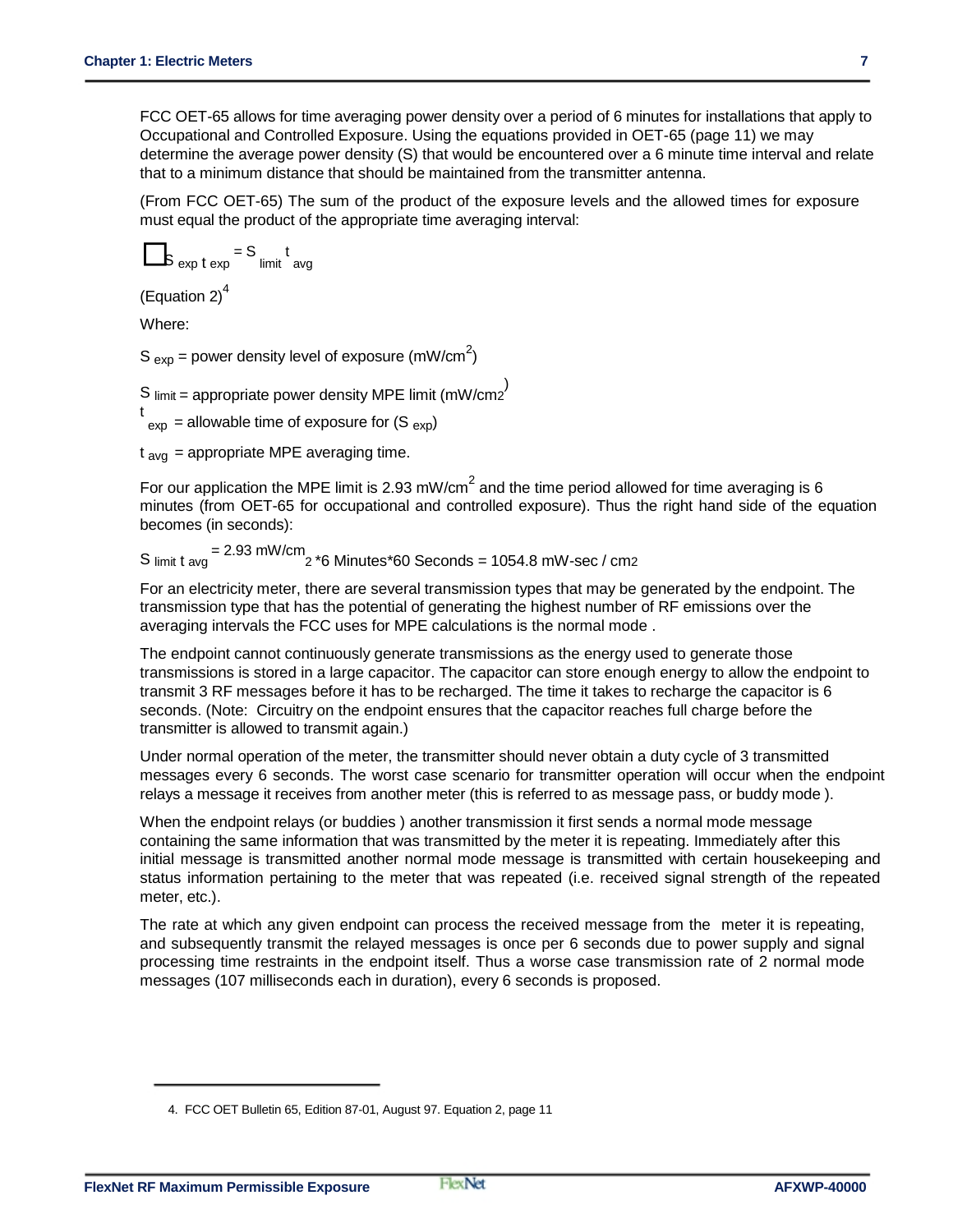FCC OET-65 allows for time averaging power density over a period of 6 minutes for installations that apply to Occupational and Controlled Exposure. Using the equations provided in OET-65 (page 11) we may determine the average power density (S) that would be encountered over a 6 minute time interval and relate that to a minimum distance that should be maintained from the transmitter antenna.

(From FCC OET-65) The sum of the product of the exposure levels and the allowed times for exposure must equal the product of the appropriate time averaging interval:

$$
s_{\exp t \exp t} = s_{\text{limit}} t_{\text{avg}}
$$

(Equation 2) $<sup>4</sup>$ </sup>

Where:

S  $_{exp}$  = power density level of exposure (mW/cm<sup>2</sup>)

S limit = appropriate power density MPE limit (mW/cm2<sup>)</sup>

t  $_{\rm exp}$  = allowable time of exposure for  $(S_{\rm exp})$ 

 $t<sub>ava</sub>$  = appropriate MPE averaging time.

For our application the MPE limit is 2.93 mW/cm<sup>2</sup> and the time period allowed for time averaging is 6 minutes (from OET-65 for occupational and controlled exposure). Thus the right hand side of the equation becomes (in seconds):

S limit t avg = 2.93 mW/cm 2 \*6 Minutes\*60 Seconds = 1054.8 mW-sec / cm2

For an electricity meter, there are several transmission types that may be generated by the endpoint. The transmission type that has the potential of generating the highest number of RF emissions over the averaging intervals the FCC uses for MPE calculations is the normal mode .

The endpoint cannot continuously generate transmissions as the energy used to generate those transmissions is stored in a large capacitor. The capacitor can store enough energy to allow the endpoint to transmit 3 RF messages before it has to be recharged. The time it takes to recharge the capacitor is 6 seconds. (Note: Circuitry on the endpoint ensures that the capacitor reaches full charge before the transmitter is allowed to transmit again.)

Under normal operation of the meter, the transmitter should never obtain a duty cycle of 3 transmitted messages every 6 seconds. The worst case scenario for transmitter operation will occur when the endpoint relays a message it receives from another meter (this is referred to as message pass, or buddy mode ).

When the endpoint relays (or buddies ) another transmission it first sends a normal mode message containing the same information that was transmitted by the meter it is repeating. Immediately after this initial message is transmitted another normal mode message is transmitted with certain housekeeping and status information pertaining to the meter that was repeated (i.e. received signal strength of the repeated meter, etc.).

The rate at which any given endpoint can process the received message from the meter it is repeating, and subsequently transmit the relayed messages is once per 6 seconds due to power supply and signal processing time restraints in the endpoint itself. Thus a worse case transmission rate of 2 normal mode messages (107 milliseconds each in duration), every 6 seconds is proposed.

<sup>4.</sup> FCC OET Bulletin 65, Edition 87-01, August 97. Equation 2, page 11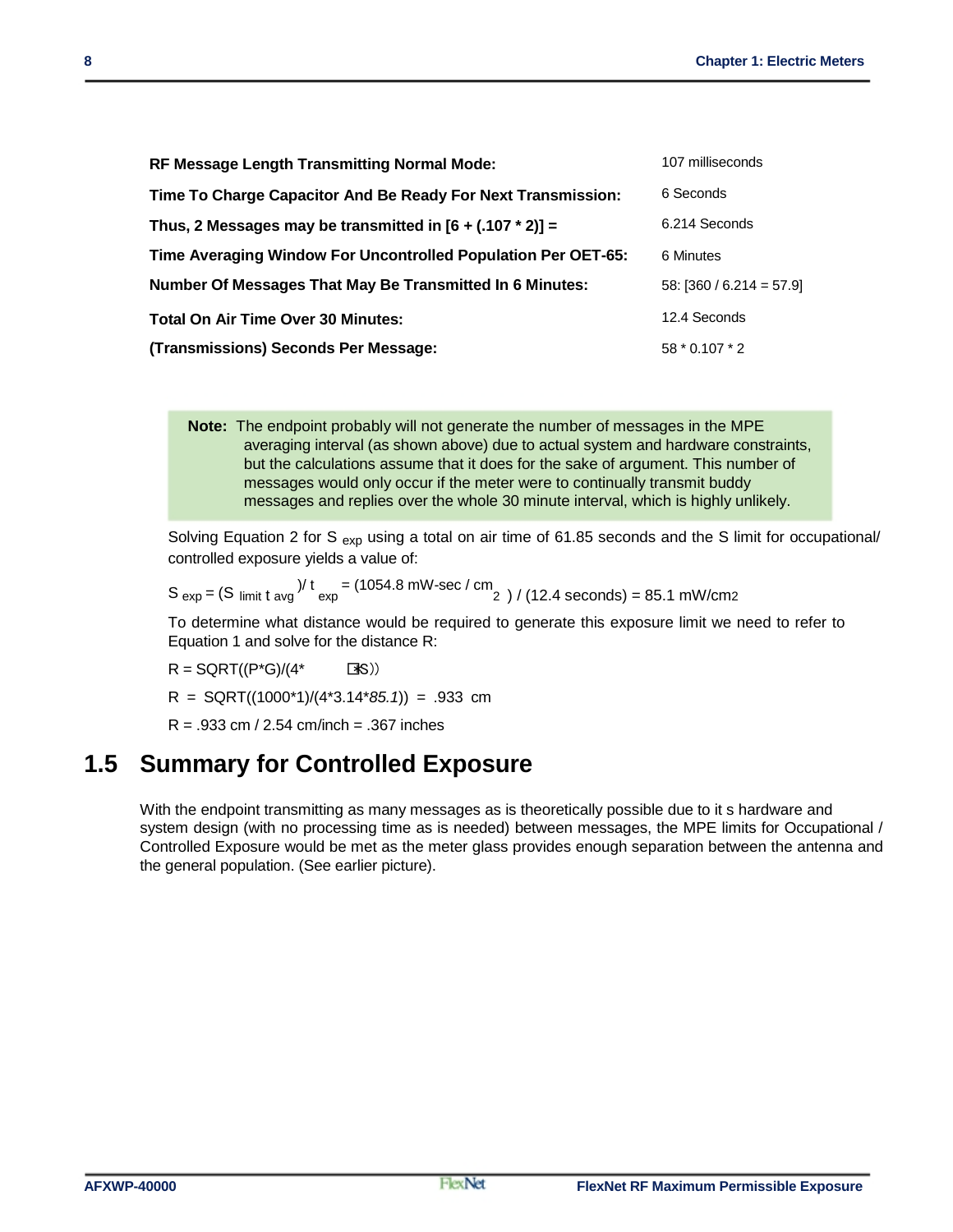| RF Message Length Transmitting Normal Mode:                   | 107 milliseconds           |
|---------------------------------------------------------------|----------------------------|
| Time To Charge Capacitor And Be Ready For Next Transmission:  | 6 Seconds                  |
| Thus, 2 Messages may be transmitted in $[6 + (.107 * 2)] =$   | 6.214 Seconds              |
| Time Averaging Window For Uncontrolled Population Per OET-65: | 6 Minutes                  |
| Number Of Messages That May Be Transmitted In 6 Minutes:      | $58: [360 / 6.214 = 57.9]$ |
| Total On Air Time Over 30 Minutes:                            | 12.4 Seconds               |
| (Transmissions) Seconds Per Message:                          | 58 * 0.107 * 2             |

**Note:** The endpoint probably will not generate the number of messages in the MPE averaging interval (as shown above) due to actual system and hardware constraints, but the calculations assume that it does for the sake of argument. This number of messages would only occur if the meter were to continually transmit buddy messages and replies over the whole 30 minute interval, which is highly unlikely.

Solving Equation 2 for S  $_{\text{exp}}$  using a total on air time of 61.85 seconds and the S limit for occupational/ controlled exposure yields a value of:

$$
S_{exp} = (S_{limit \, t \, avg})/t = (1054.8 \, mW\text{-sec}/\text{cm})/(12.4 \, seconds) = 85.1 \, mW/cm2
$$

To determine what distance would be required to generate this exposure limit we need to refer to Equation 1 and solve for the distance R:

 $R = \text{SGRT}((P^*G)/(4^* \qquad \Box S))$ R = SQRT((1000\*1)/(4\*3.14\**85.1*)) = .933 cm  $R = 0.933$  cm / 2.54 cm/inch =  $0.367$  inches

### **1.5 Summary for Controlled Exposure**

With the endpoint transmitting as many messages as is theoretically possible due to it s hardware and system design (with no processing time as is needed) between messages, the MPE limits for Occupational / Controlled Exposure would be met as the meter glass provides enough separation between the antenna and the general population. (See earlier picture).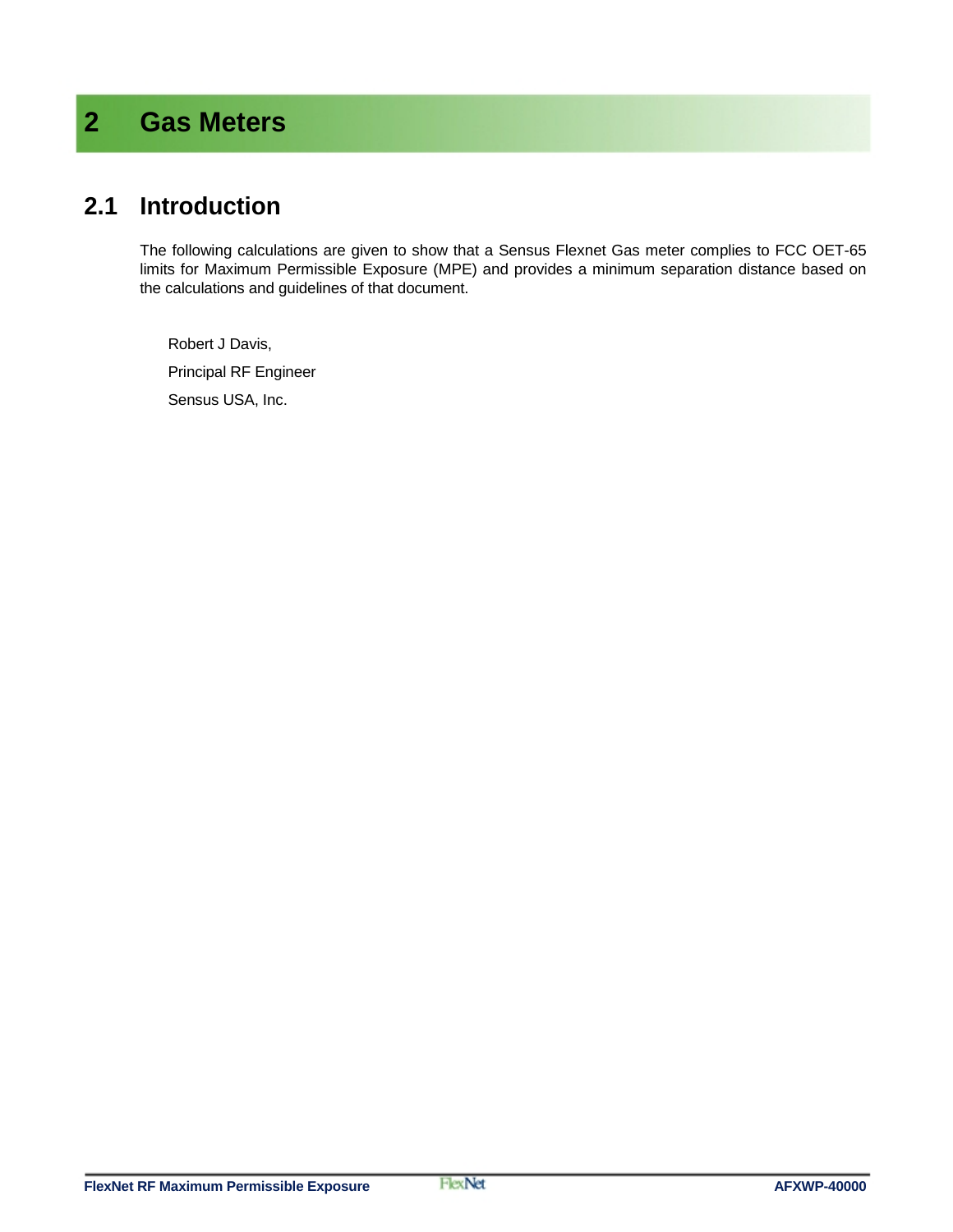# **2 Gas Meters**

#### **2.1 Introduction**

The following calculations are given to show that a Sensus Flexnet Gas meter complies to FCC OET-65 limits for Maximum Permissible Exposure (MPE) and provides a minimum separation distance based on the calculations and guidelines of that document.

Robert J Davis, Principal RF Engineer Sensus USA, Inc.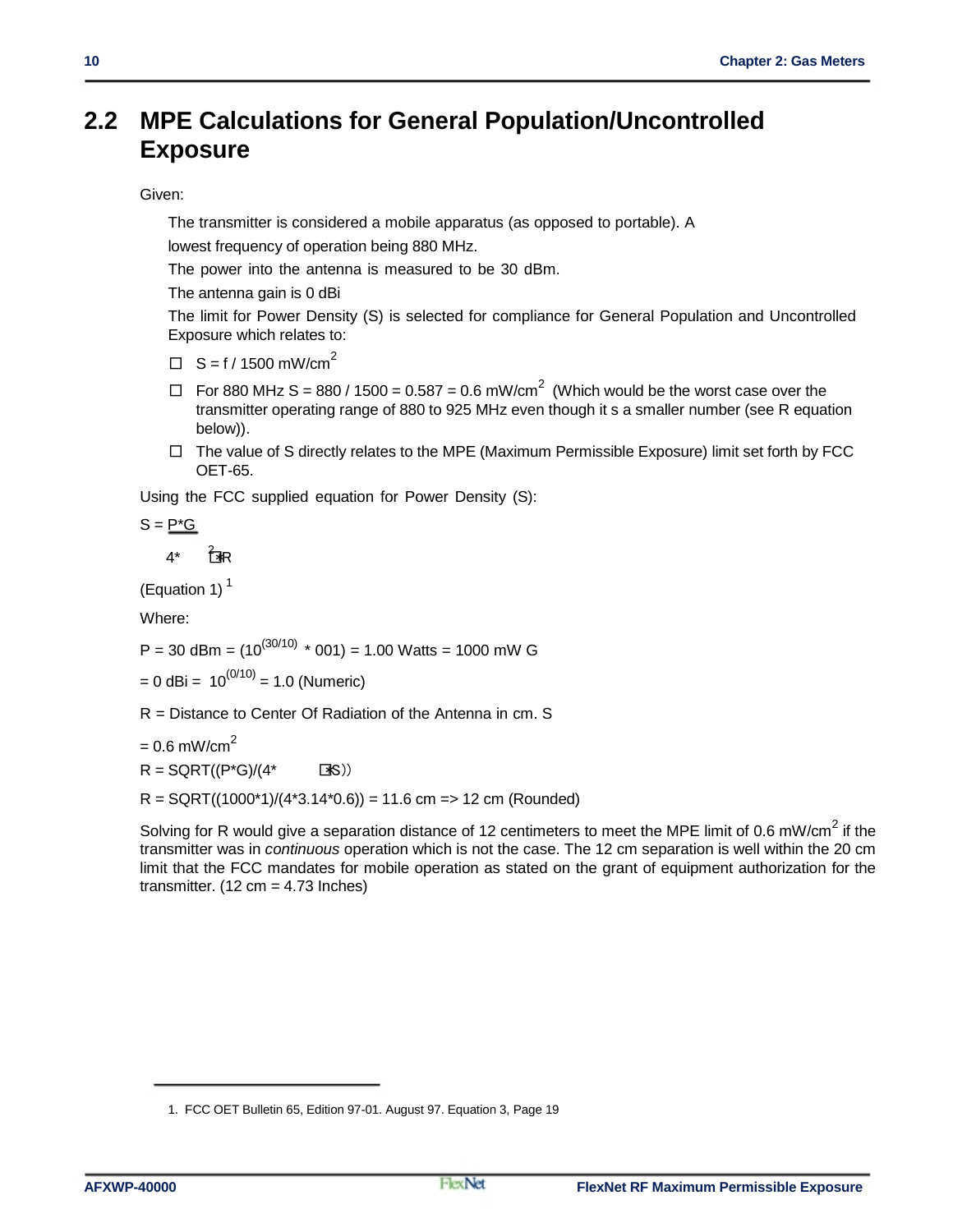#### **2.2 MPE Calculations for General Population/Uncontrolled Exposure**

#### Given:

The transmitter is considered a mobile apparatus (as opposed to portable). A

lowest frequency of operation being 880 MHz.

The power into the antenna is measured to be 30 dBm.

The antenna gain is 0 dBi

The limit for Power Density (S) is selected for compliance for General Population and Uncontrolled Exposure which relates to:

 $\Box$  S = f / 1500 mW/cm<sup>2</sup>

- $\Box$  For 880 MHz S = 880 / 1500 = 0.587 = 0.6 mW/cm<sup>2</sup> (Which would be the worst case over the transmitter operating range of 880 to 925 MHz even though it s a smaller number (see R equation below)).
- $\Box$  The value of S directly relates to the MPE (Maximum Permissible Exposure) limit set forth by FCC OET-65.

Using the FCC supplied equation for Power Density (S):

$$
S = \underline{P^*G}
$$

 $4^*$   $7^*$ 

(Equation 1) $<sup>1</sup>$ </sup>

Where:

P = 30 dBm =  $(10^{(30/10)}$  \* 001) = 1.00 Watts = 1000 mW G

 $= 0$  dBi =  $10^{(0/10)}$  = 1.0 (Numeric)

R = Distance to Center Of Radiation of the Antenna in cm. S

 $= 0.6$  mW/cm<sup>2</sup>

 $R = \text{SGRT}((P^*G)/(4^* \text{S}))$ 

 $R = \text{SQRT}((1000^*1)/(4^*3.14^*0.6)) = 11.6$  cm => 12 cm (Rounded)

Solving for R would give a separation distance of 12 centimeters to meet the MPE limit of 0.6 mW/cm<sup>2</sup> if the transmitter was in *continuous* operation which is not the case. The 12 cm separation is well within the 20 cm limit that the FCC mandates for mobile operation as stated on the grant of equipment authorization for the transmitter.  $(12 \text{ cm} = 4.73 \text{ inches})$ 

<sup>1.</sup> FCC OET Bulletin 65, Edition 97-01. August 97. Equation 3, Page 19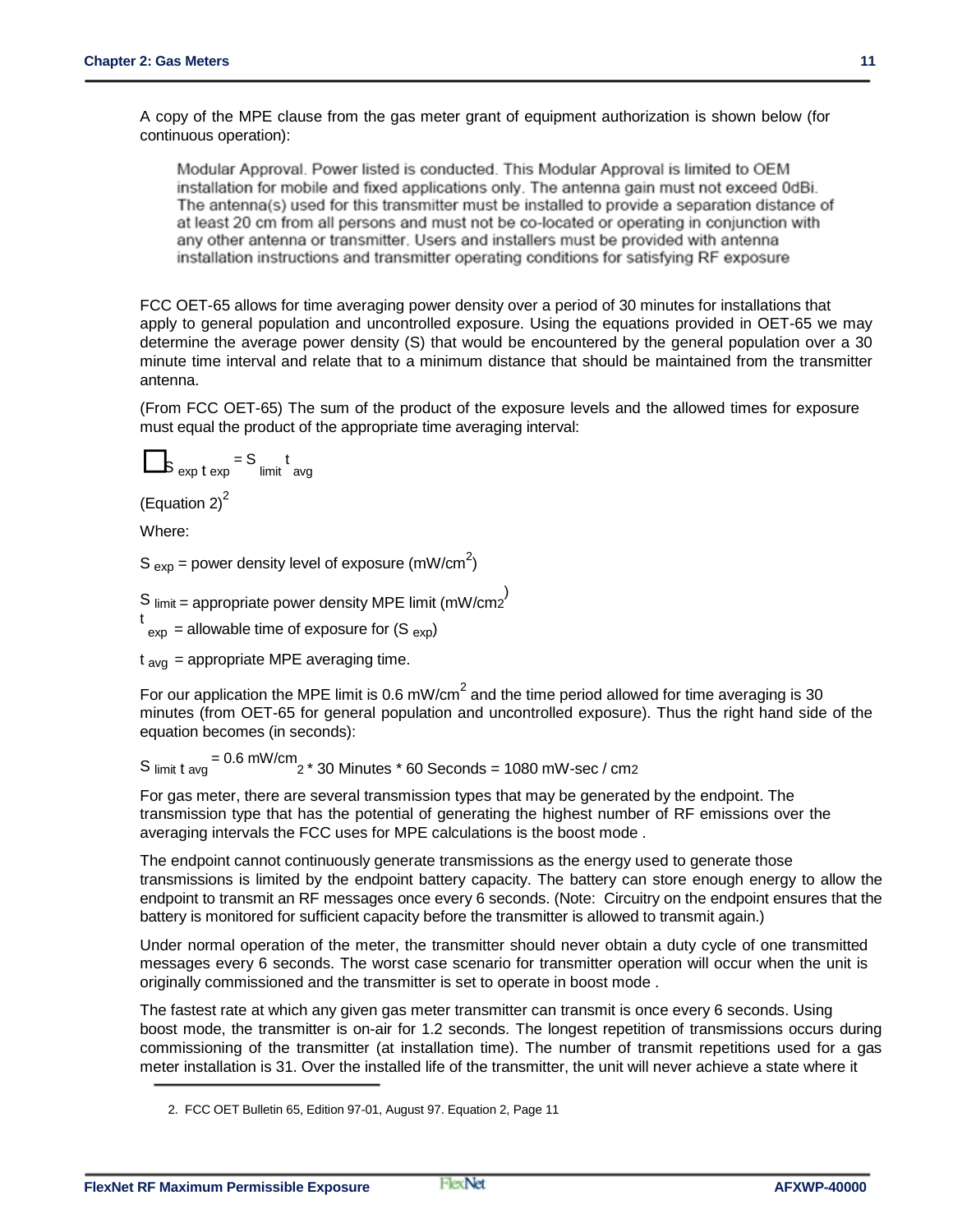A copy of the MPE clause from the gas meter grant of equipment authorization is shown below (for continuous operation):

Modular Approval. Power listed is conducted. This Modular Approval is limited to OEM installation for mobile and fixed applications only. The antenna gain must not exceed 0dBi. The antenna(s) used for this transmitter must be installed to provide a separation distance of at least 20 cm from all persons and must not be co-located or operating in conjunction with any other antenna or transmitter. Users and installers must be provided with antenna installation instructions and transmitter operating conditions for satisfying RF exposure

FCC OET-65 allows for time averaging power density over a period of 30 minutes for installations that apply to general population and uncontrolled exposure. Using the equations provided in OET-65 we may determine the average power density (S) that would be encountered by the general population over a 30 minute time interval and relate that to a minimum distance that should be maintained from the transmitter antenna.

(From FCC OET-65) The sum of the product of the exposure levels and the allowed times for exposure must equal the product of the appropriate time averaging interval:

$$
S_{\exp t \exp} = S_{\text{limit}} t_{\text{avg}}
$$

(Equation  $2)^2$ 

Where:

S  $_{exp}$  = power density level of exposure (mW/cm<sup>2</sup>)

S  $\text{limit} = \text{appropriate power density MPE limit (mW/cm2}^{\text{}})$ 

 $t_{\text{exp}}$  = allowable time of exposure for (S  $_{\text{exp}}$ )

 $t<sub>av<sub>q</sub></sub>$  = appropriate MPE averaging time.

For our application the MPE limit is 0.6 mW/cm<sup>2</sup> and the time period allowed for time averaging is 30 minutes (from OET-65 for general population and uncontrolled exposure). Thus the right hand side of the equation becomes (in seconds):

 $S$  limit t avg  $= 0.6$  mW/cm  $2 * 30$  Minutes  $* 60$  Seconds = 1080 mW-sec / cm2

For gas meter, there are several transmission types that may be generated by the endpoint. The transmission type that has the potential of generating the highest number of RF emissions over the averaging intervals the FCC uses for MPE calculations is the boost mode .

The endpoint cannot continuously generate transmissions as the energy used to generate those transmissions is limited by the endpoint battery capacity. The battery can store enough energy to allow the endpoint to transmit an RF messages once every 6 seconds. (Note: Circuitry on the endpoint ensures that the battery is monitored for sufficient capacity before the transmitter is allowed to transmit again.)

Under normal operation of the meter, the transmitter should never obtain a duty cycle of one transmitted messages every 6 seconds. The worst case scenario for transmitter operation will occur when the unit is originally commissioned and the transmitter is set to operate in boost mode .

The fastest rate at which any given gas meter transmitter can transmit is once every 6 seconds. Using boost mode, the transmitter is on-air for 1.2 seconds. The longest repetition of transmissions occurs during commissioning of the transmitter (at installation time). The number of transmit repetitions used for a gas meter installation is 31. Over the installed life of the transmitter, the unit will never achieve a state where it

<sup>2.</sup> FCC OET Bulletin 65, Edition 97-01, August 97. Equation 2, Page 11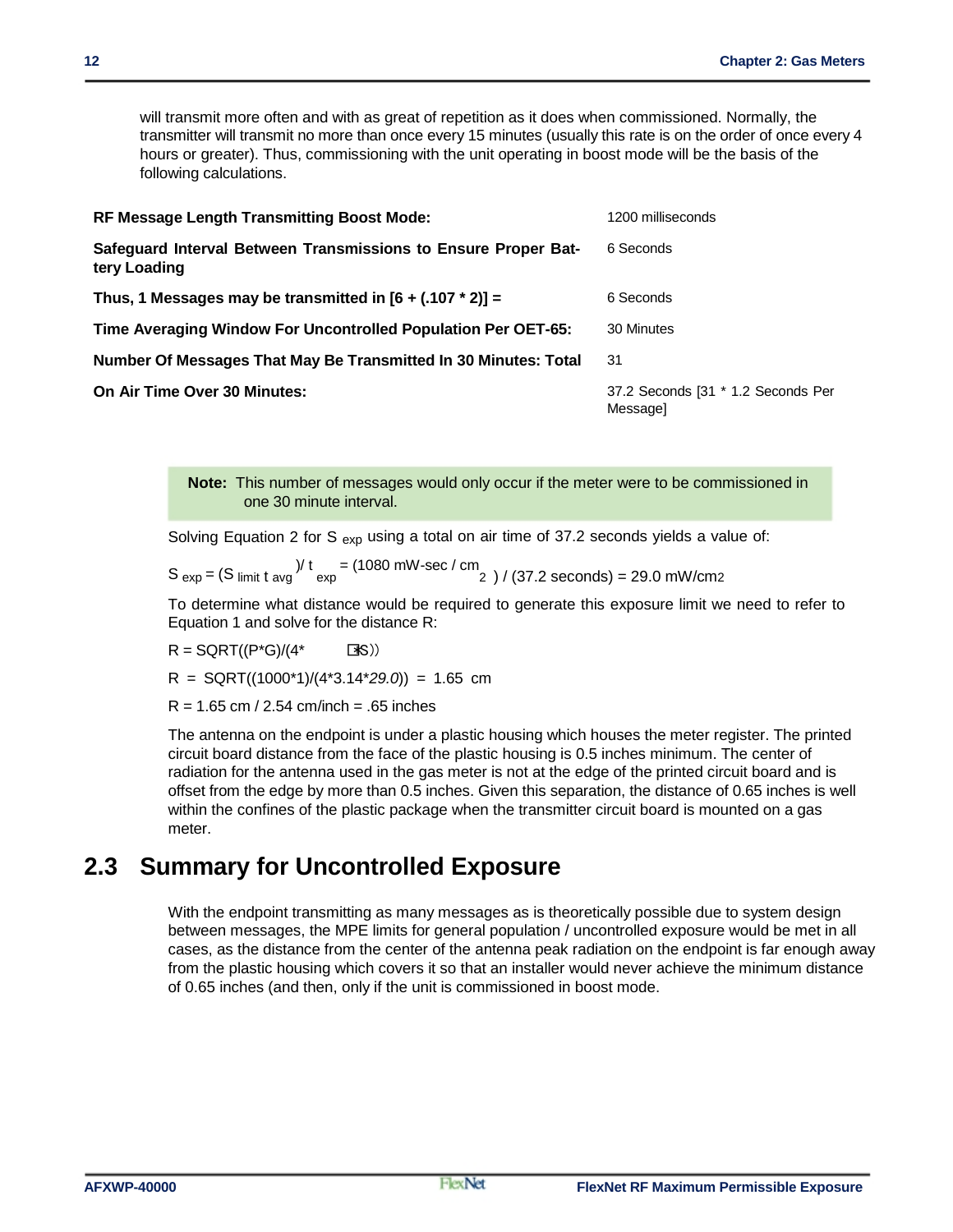will transmit more often and with as great of repetition as it does when commissioned. Normally, the transmitter will transmit no more than once every 15 minutes (usually this rate is on the order of once every 4 hours or greater). Thus, commissioning with the unit operating in boost mode will be the basis of the following calculations.

| <b>RF Message Length Transmitting Boost Mode:</b>                              | 1200 milliseconds                              |
|--------------------------------------------------------------------------------|------------------------------------------------|
| Safeguard Interval Between Transmissions to Ensure Proper Bat-<br>tery Loading | 6 Seconds                                      |
| Thus, 1 Messages may be transmitted in $[6 + (.107 * 2)] =$                    | 6 Seconds                                      |
| Time Averaging Window For Uncontrolled Population Per OET-65:                  | 30 Minutes                                     |
| Number Of Messages That May Be Transmitted In 30 Minutes: Total                | 31                                             |
| On Air Time Over 30 Minutes:                                                   | 37.2 Seconds [31 * 1.2 Seconds Per<br>Messagel |

**Note:** This number of messages would only occur if the meter were to be commissioned in one 30 minute interval.

Solving Equation 2 for S  $_{exp}$  using a total on air time of 37.2 seconds yields a value of:

 $S_{exp} = (S_{limit} t_{avg})^{\frac{1}{t}} = (1080 \text{ mW-sec} / \text{cm}^2) / (37.2 \text{ seconds}) = 29.0 \text{ mW/cm2}$ 

To determine what distance would be required to generate this exposure limit we need to refer to Equation 1 and solve for the distance R:

 $R = \text{SGRT}((P^*G)/(4^* \text{S}))$ 

R = SQRT((1000\*1)/(4\*3.14\**29.0*)) = 1.65 cm

 $R = 1.65$  cm / 2.54 cm/inch = .65 inches

The antenna on the endpoint is under a plastic housing which houses the meter register. The printed circuit board distance from the face of the plastic housing is 0.5 inches minimum. The center of radiation for the antenna used in the gas meter is not at the edge of the printed circuit board and is offset from the edge by more than 0.5 inches. Given this separation, the distance of 0.65 inches is well within the confines of the plastic package when the transmitter circuit board is mounted on a gas meter.

#### **2.3 Summary for Uncontrolled Exposure**

With the endpoint transmitting as many messages as is theoretically possible due to system design between messages, the MPE limits for general population / uncontrolled exposure would be met in all cases, as the distance from the center of the antenna peak radiation on the endpoint is far enough away from the plastic housing which covers it so that an installer would never achieve the minimum distance of 0.65 inches (and then, only if the unit is commissioned in boost mode.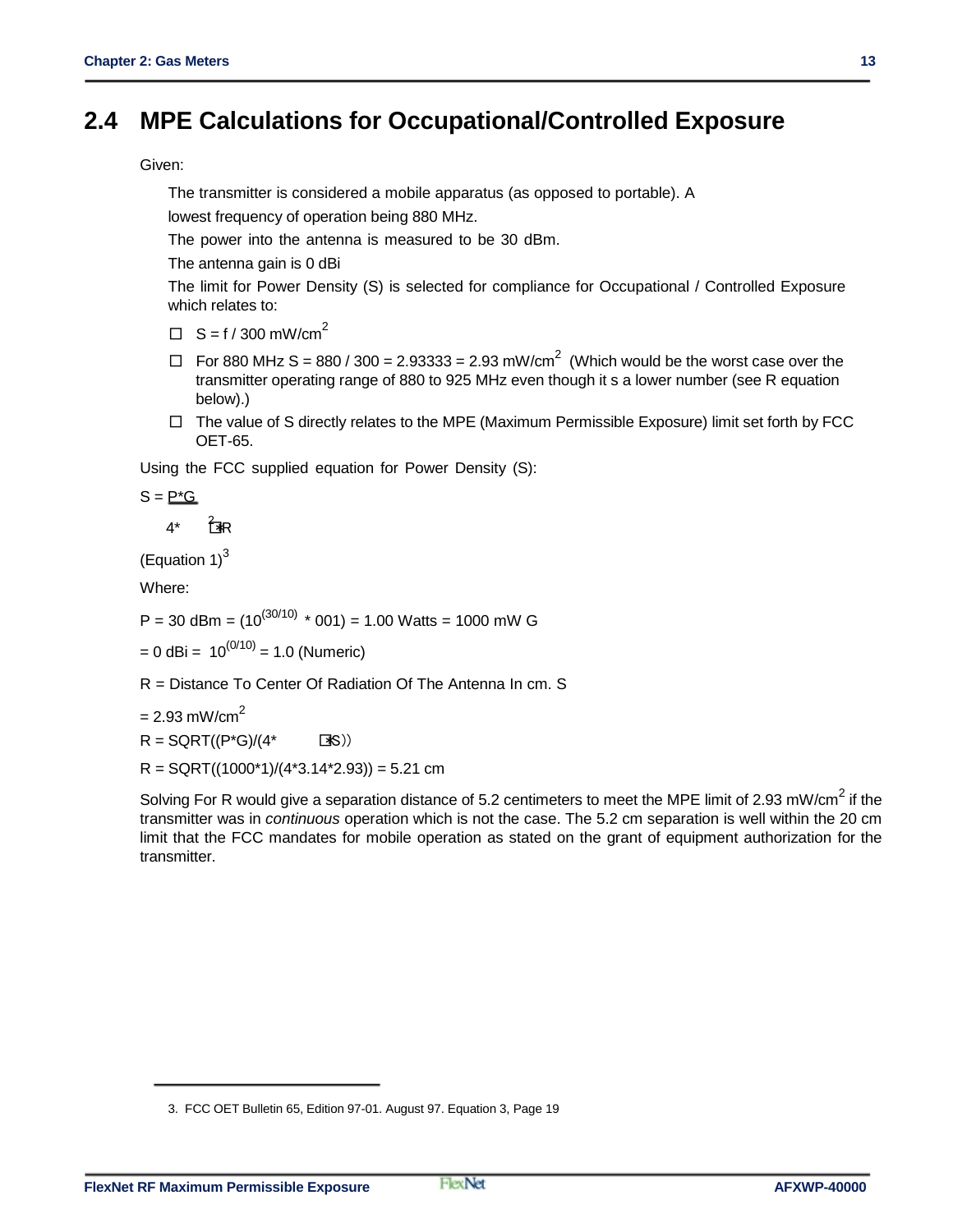### **2.4 MPE Calculations for Occupational/Controlled Exposure**

Given:

The transmitter is considered a mobile apparatus (as opposed to portable). A

lowest frequency of operation being 880 MHz.

The power into the antenna is measured to be 30 dBm.

The antenna gain is 0 dBi

The limit for Power Density (S) is selected for compliance for Occupational / Controlled Exposure which relates to:

- $\Box$  S = f / 300 mW/cm<sup>2</sup>
- $\Box$  For 880 MHz S = 880 / 300 = 2.93333 = 2.93 mW/cm<sup>2</sup> (Which would be the worst case over the transmitter operating range of 880 to 925 MHz even though it s a lower number (see R equation below).)
- $\Box$  The value of S directly relates to the MPE (Maximum Permissible Exposure) limit set forth by FCC OET-65.

Using the FCC supplied equation for Power Density (S):

 $S = P^*G$ 

 $4^*$   $7^*$ R

(Equation  $1$ )<sup>3</sup>

Where:

P = 30 dBm =  $(10^{(30/10) \times} 001)$  = 1.00 Watts = 1000 mW G

 $= 0$  dBi = 10<sup>(0/10)</sup> = 1.0 (Numeric)

R = Distance To Center Of Radiation Of The Antenna In cm. S

 $= 2.93$  mW/cm<sup>2</sup>

 $R = \text{SGRT}((P^*G)/(4^* \text{S}))$ 

 $R =$  SQRT((1000\*1)/(4\*3.14\*2.93)) = 5.21 cm

Solving For R would give a separation distance of 5.2 centimeters to meet the MPE limit of 2.93 mW/cm<sup>2</sup> if the transmitter was in *continuous* operation which is not the case. The 5.2 cm separation is well within the 20 cm limit that the FCC mandates for mobile operation as stated on the grant of equipment authorization for the transmitter.

<sup>3.</sup> FCC OET Bulletin 65, Edition 97-01. August 97. Equation 3, Page 19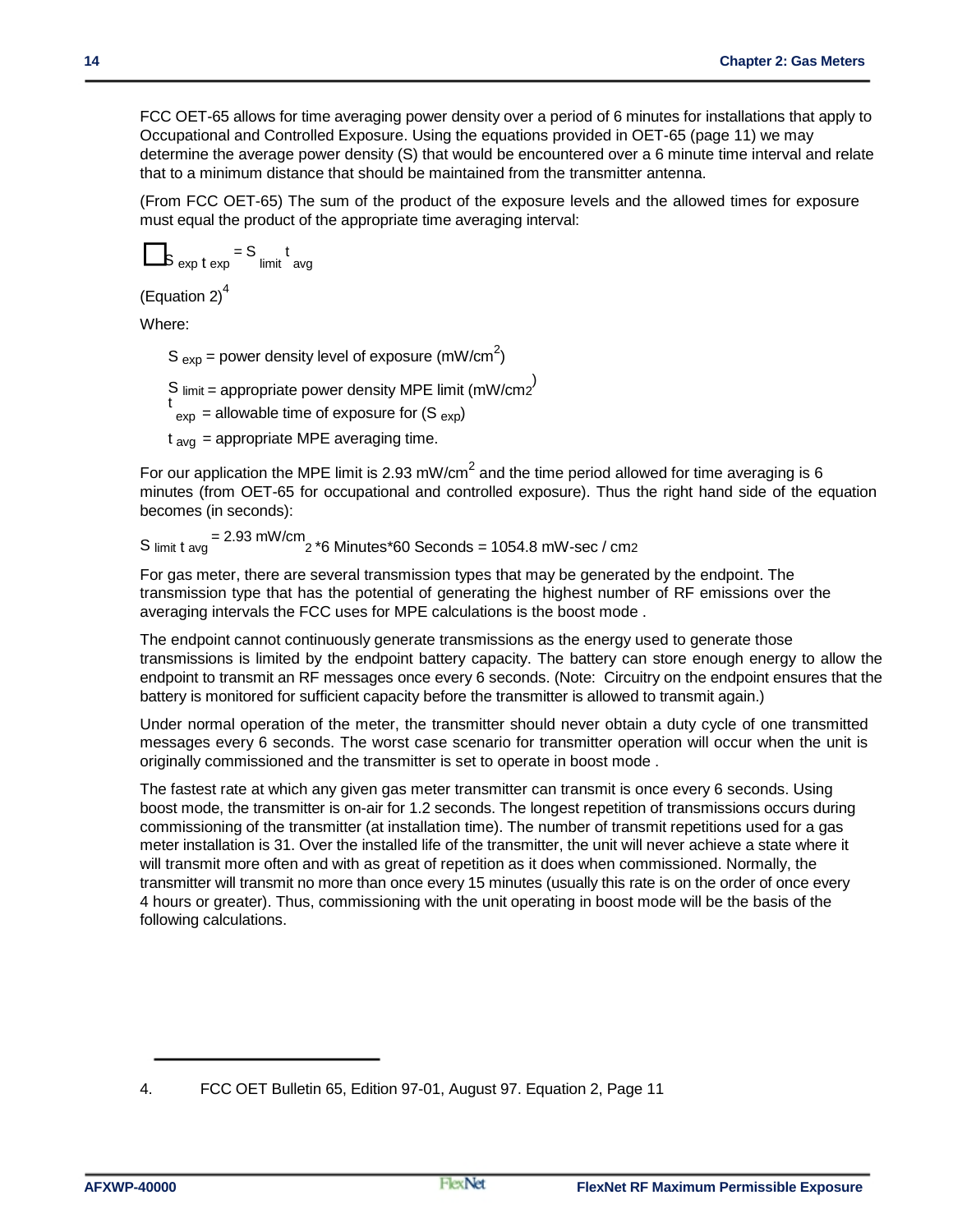FCC OET-65 allows for time averaging power density over a period of 6 minutes for installations that apply to Occupational and Controlled Exposure. Using the equations provided in OET-65 (page 11) we may determine the average power density (S) that would be encountered over a 6 minute time interval and relate that to a minimum distance that should be maintained from the transmitter antenna.

(From FCC OET-65) The sum of the product of the exposure levels and the allowed times for exposure must equal the product of the appropriate time averaging interval:

$$
s_{\exp t \exp t} = s_{\text{limit}} t_{\text{avg}}
$$

(Equation 2) $<sup>4</sup>$ </sup>

Where:

S  $_{exp}$  = power density level of exposure (mW/cm<sup>2</sup>)

S limit = appropriate power density MPE limit (mW/cm2<sup>)</sup>

 $t_{\text{exp}}$  = allowable time of exposure for (S  $_{\text{exp}}$ )

 $t<sub>av</sub>$  = appropriate MPE averaging time.

For our application the MPE limit is 2.93 mW/cm<sup>2</sup> and the time period allowed for time averaging is 6 minutes (from OET-65 for occupational and controlled exposure). Thus the right hand side of the equation becomes (in seconds):

S  $_{\text{limit t avg}}$  = 2.93 mW/cm  $_{\text{2}}$  \*6 Minutes\*60 Seconds = 1054.8 mW-sec / cm2

For gas meter, there are several transmission types that may be generated by the endpoint. The transmission type that has the potential of generating the highest number of RF emissions over the averaging intervals the FCC uses for MPE calculations is the boost mode .

The endpoint cannot continuously generate transmissions as the energy used to generate those transmissions is limited by the endpoint battery capacity. The battery can store enough energy to allow the endpoint to transmit an RF messages once every 6 seconds. (Note: Circuitry on the endpoint ensures that the battery is monitored for sufficient capacity before the transmitter is allowed to transmit again.)

Under normal operation of the meter, the transmitter should never obtain a duty cycle of one transmitted messages every 6 seconds. The worst case scenario for transmitter operation will occur when the unit is originally commissioned and the transmitter is set to operate in boost mode .

The fastest rate at which any given gas meter transmitter can transmit is once every 6 seconds. Using boost mode, the transmitter is on-air for 1.2 seconds. The longest repetition of transmissions occurs during commissioning of the transmitter (at installation time). The number of transmit repetitions used for a gas meter installation is 31. Over the installed life of the transmitter, the unit will never achieve a state where it will transmit more often and with as great of repetition as it does when commissioned. Normally, the transmitter will transmit no more than once every 15 minutes (usually this rate is on the order of once every 4 hours or greater). Thus, commissioning with the unit operating in boost mode will be the basis of the following calculations.

<sup>4.</sup> FCC OET Bulletin 65, Edition 97-01, August 97. Equation 2, Page 11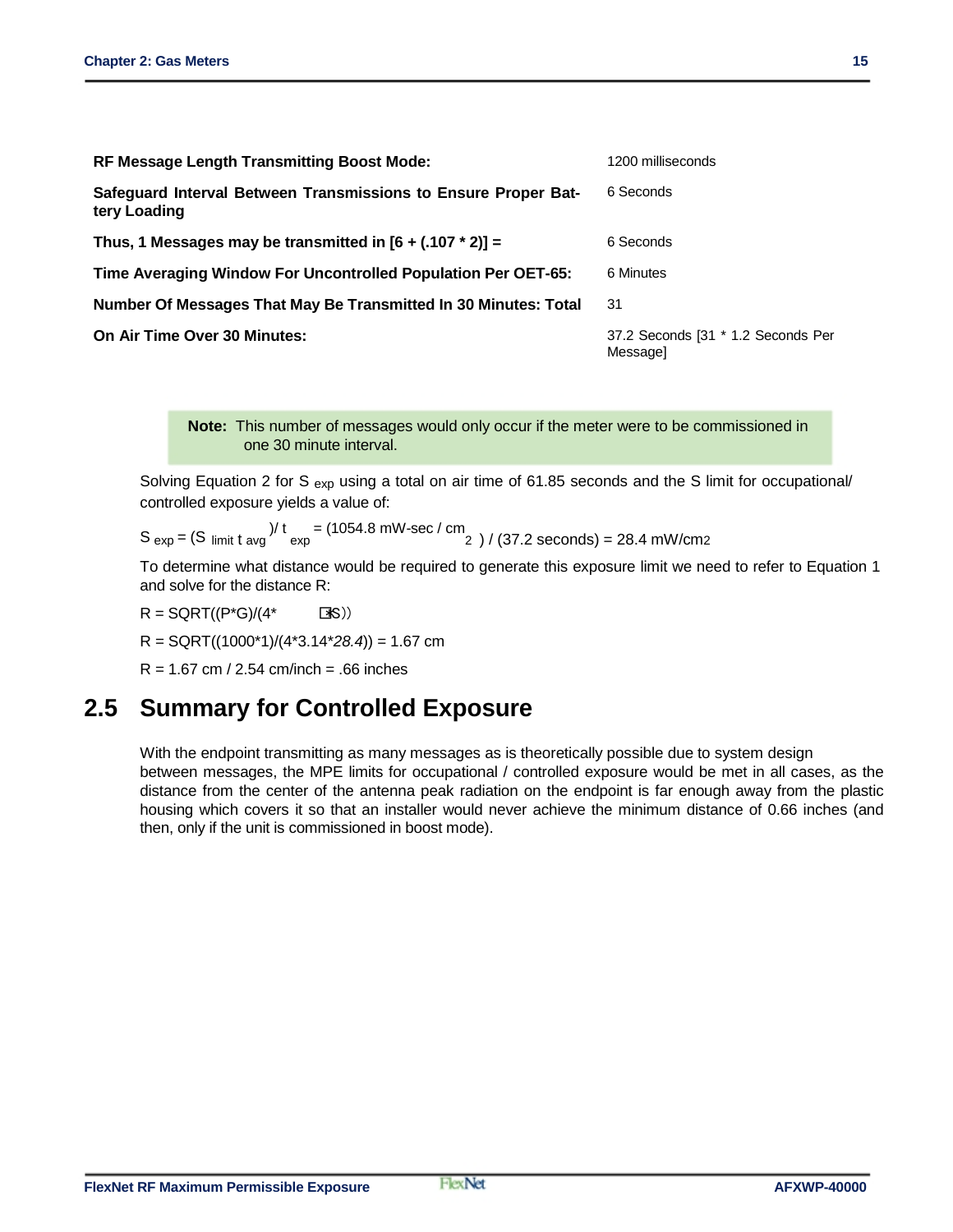| <b>RF Message Length Transmitting Boost Mode:</b>                              | 1200 milliseconds                              |
|--------------------------------------------------------------------------------|------------------------------------------------|
| Safeguard Interval Between Transmissions to Ensure Proper Bat-<br>tery Loading | 6 Seconds                                      |
| Thus, 1 Messages may be transmitted in $[6 + (.107 * 2)] =$                    | 6 Seconds                                      |
| Time Averaging Window For Uncontrolled Population Per OET-65:                  | 6 Minutes                                      |
| Number Of Messages That May Be Transmitted In 30 Minutes: Total                | 31                                             |
| On Air Time Over 30 Minutes:                                                   | 37.2 Seconds [31 * 1.2 Seconds Per<br>Messagel |

**Note:** This number of messages would only occur if the meter were to be commissioned in one 30 minute interval.

Solving Equation 2 for S  $_{\rm ex}$  using a total on air time of 61.85 seconds and the S limit for occupational/ controlled exposure yields a value of:

 $S_{\text{exp}} = (S \cdot \text{limit} \cdot \text{t} \cdot \text{avg}) / t = (1054.8 \text{ mW-sec} / \text{cm}^2) / (37.2 \text{ seconds}) = 28.4 \text{ mW/cm2}$ 

To determine what distance would be required to generate this exposure limit we need to refer to Equation 1 and solve for the distance R:

 $R = \text{SGRT}((P^*G)/(4^* \qquad \Box S))$ 

R = SQRT((1000\*1)/(4\*3.14\**28.4*)) = 1.67 cm

 $R = 1.67$  cm / 2.54 cm/inch = .66 inches

#### **2.5 Summary for Controlled Exposure**

With the endpoint transmitting as many messages as is theoretically possible due to system design between messages, the MPE limits for occupational / controlled exposure would be met in all cases, as the distance from the center of the antenna peak radiation on the endpoint is far enough away from the plastic housing which covers it so that an installer would never achieve the minimum distance of 0.66 inches (and then, only if the unit is commissioned in boost mode).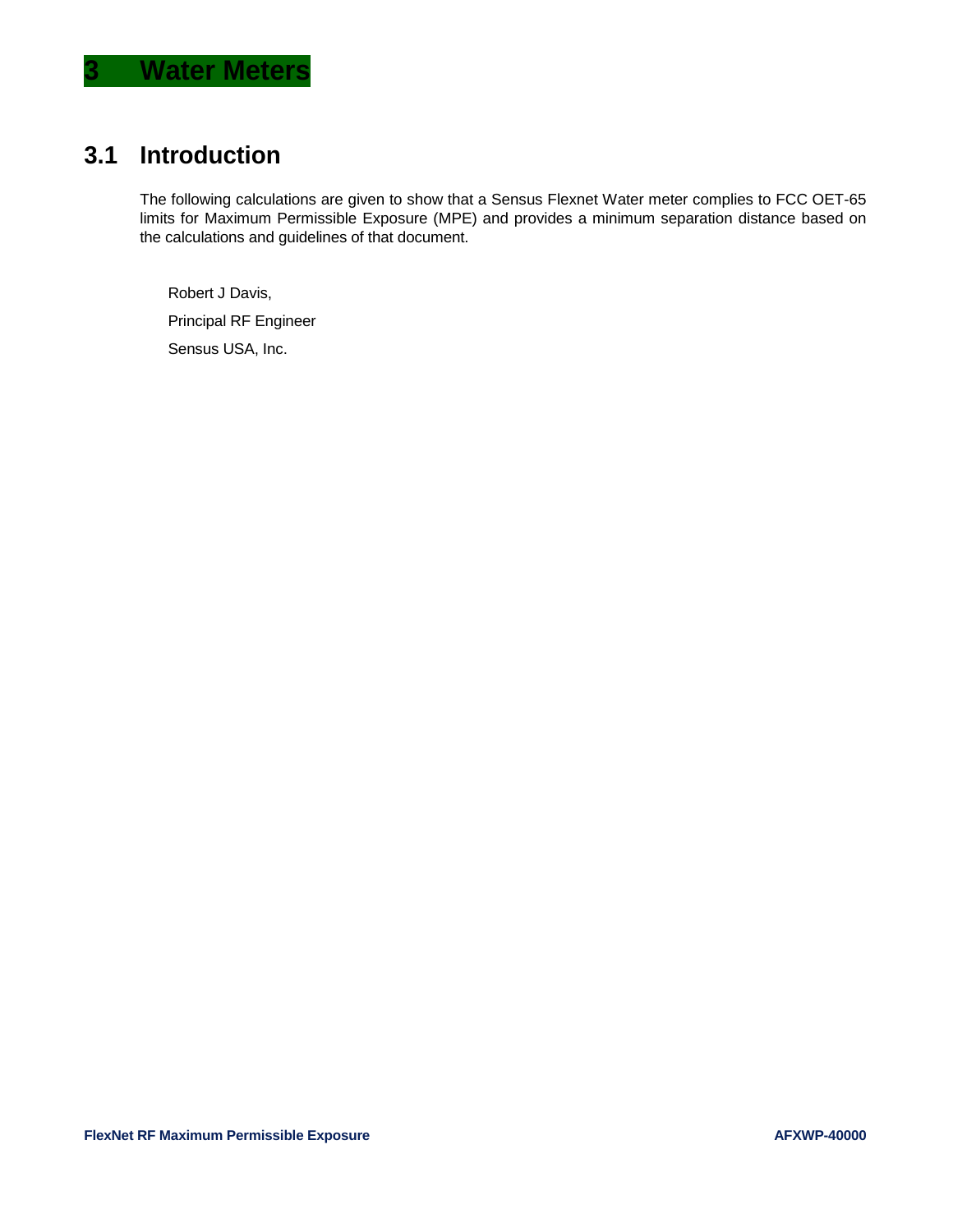### **3.1 Introduction**

The following calculations are given to show that a Sensus Flexnet Water meter complies to FCC OET-65 limits for Maximum Permissible Exposure (MPE) and provides a minimum separation distance based on the calculations and guidelines of that document.

Robert J Davis,

Principal RF Engineer

Sensus USA, Inc.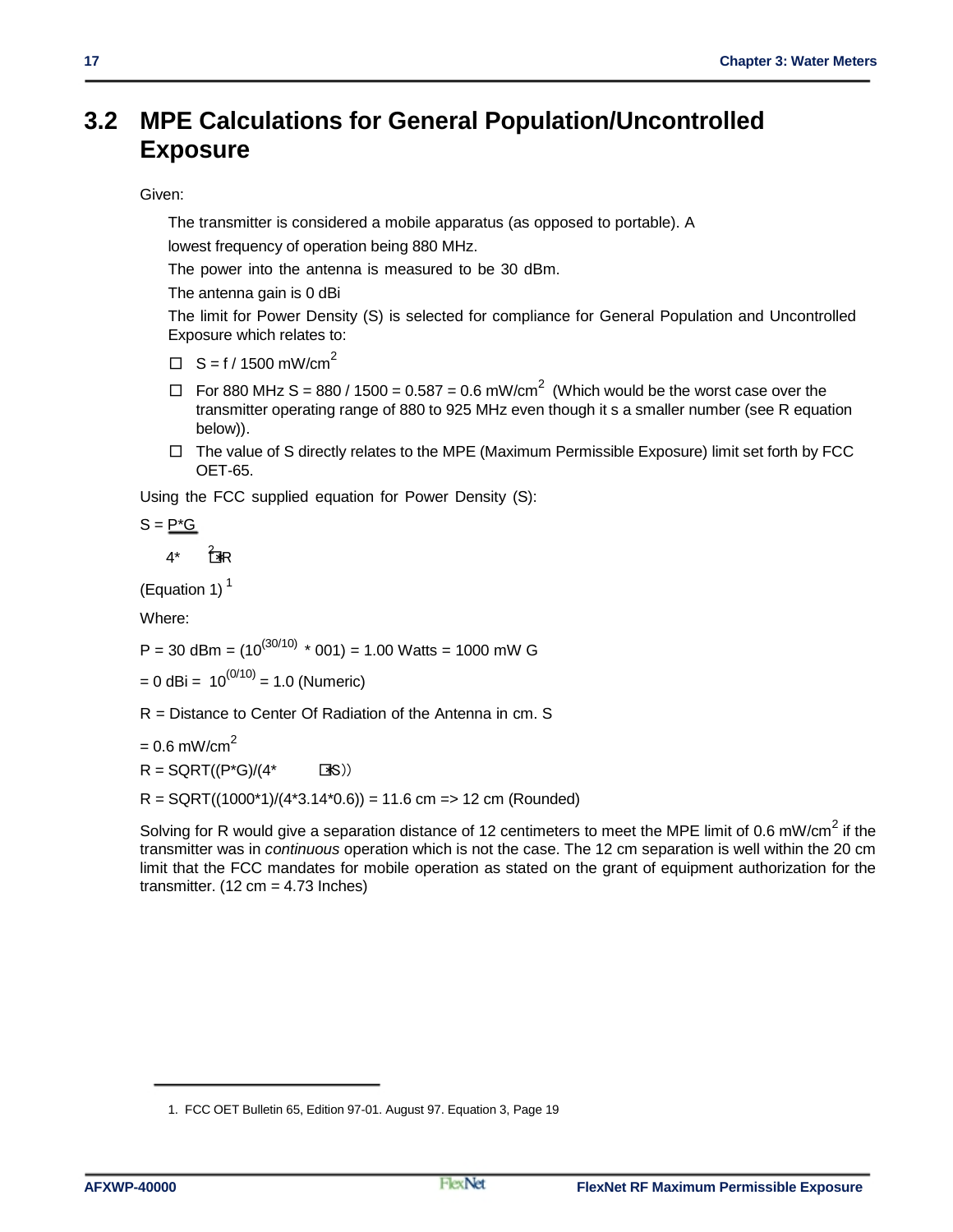### **3.2 MPE Calculations for General Population/Uncontrolled Exposure**

#### Given:

The transmitter is considered a mobile apparatus (as opposed to portable). A

lowest frequency of operation being 880 MHz.

The power into the antenna is measured to be 30 dBm.

The antenna gain is 0 dBi

The limit for Power Density (S) is selected for compliance for General Population and Uncontrolled Exposure which relates to:

 $\Box$  S = f / 1500 mW/cm<sup>2</sup>

- $\Box$  For 880 MHz S = 880 / 1500 = 0.587 = 0.6 mW/cm<sup>2</sup> (Which would be the worst case over the transmitter operating range of 880 to 925 MHz even though it s a smaller number (see R equation below)).
- $\Box$  The value of S directly relates to the MPE (Maximum Permissible Exposure) limit set forth by FCC OET-65.

Using the FCC supplied equation for Power Density (S):

$$
S = \underline{P^*G}
$$

 $4^*$   $7^*$ 

(Equation 1) $<sup>1</sup>$ </sup>

Where:

P = 30 dBm =  $(10^{(30/10)}$  \* 001) = 1.00 Watts = 1000 mW G

 $= 0$  dBi =  $10^{(0/10)} = 1.0$  (Numeric)

R = Distance to Center Of Radiation of the Antenna in cm. S

 $= 0.6$  mW/cm<sup>2</sup>

 $R = \text{SGRT}((P^*G)/(4^* \text{S}))$ 

 $R = \text{SQRT}((1000^*1)/(4^*3.14^*0.6)) = 11.6 \text{ cm} = > 12 \text{ cm}$  (Rounded)

Solving for R would give a separation distance of 12 centimeters to meet the MPE limit of 0.6 mW/cm<sup>2</sup> if the transmitter was in *continuous* operation which is not the case. The 12 cm separation is well within the 20 cm limit that the FCC mandates for mobile operation as stated on the grant of equipment authorization for the transmitter.  $(12 \text{ cm} = 4.73 \text{ inches})$ 

<sup>1.</sup> FCC OET Bulletin 65, Edition 97-01. August 97. Equation 3, Page 19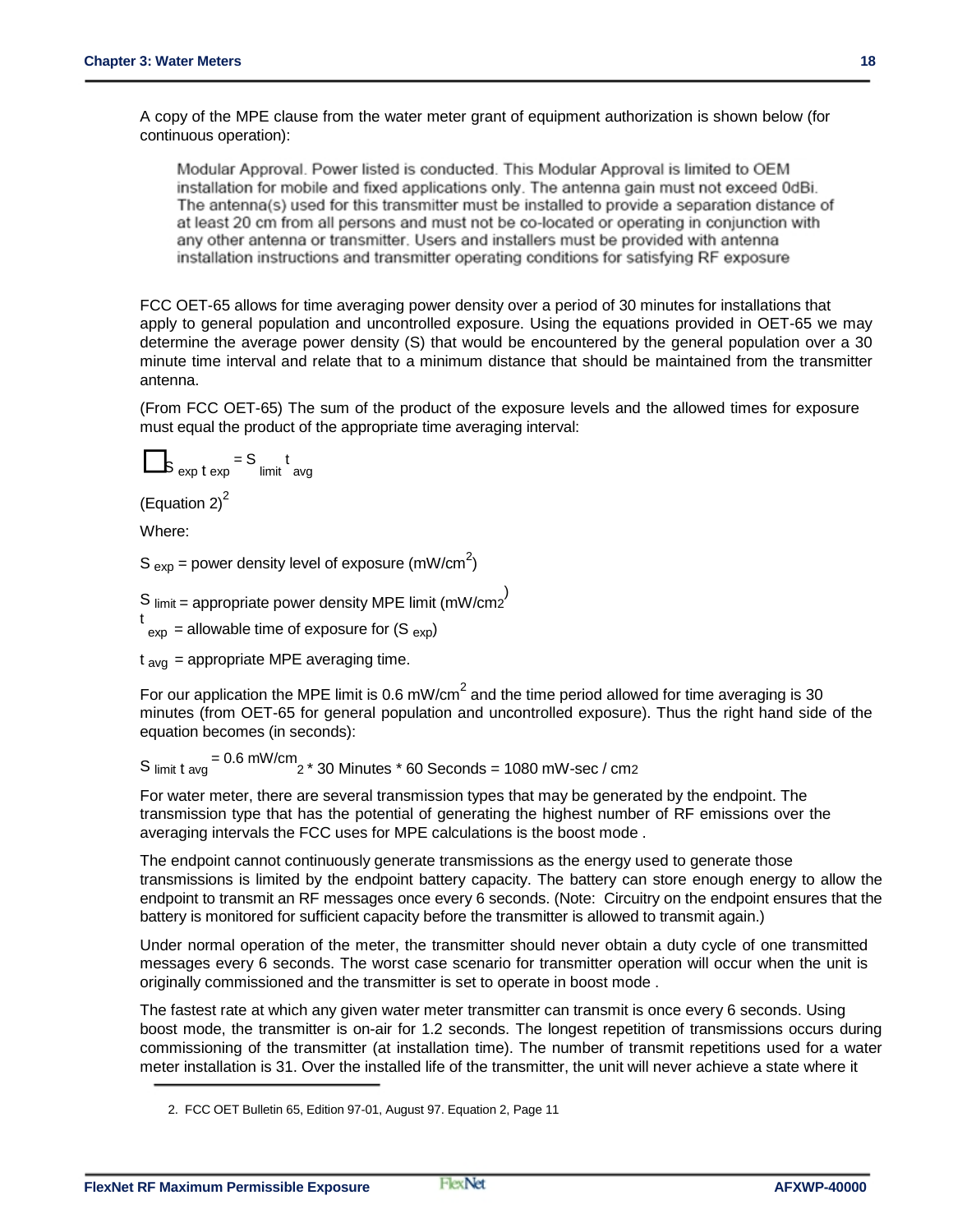A copy of the MPE clause from the water meter grant of equipment authorization is shown below (for continuous operation):

Modular Approval. Power listed is conducted. This Modular Approval is limited to OEM installation for mobile and fixed applications only. The antenna gain must not exceed 0dBi. The antenna(s) used for this transmitter must be installed to provide a separation distance of at least 20 cm from all persons and must not be co-located or operating in conjunction with any other antenna or transmitter. Users and installers must be provided with antenna installation instructions and transmitter operating conditions for satisfying RF exposure

FCC OET-65 allows for time averaging power density over a period of 30 minutes for installations that apply to general population and uncontrolled exposure. Using the equations provided in OET-65 we may determine the average power density (S) that would be encountered by the general population over a 30 minute time interval and relate that to a minimum distance that should be maintained from the transmitter antenna.

(From FCC OET-65) The sum of the product of the exposure levels and the allowed times for exposure must equal the product of the appropriate time averaging interval:

$$
S_{\exp t \exp} = S_{\text{limit}} t_{\text{avg}}
$$

(Equation  $2)^2$ 

Where:

S  $_{exp}$  = power density level of exposure (mW/cm<sup>2</sup>)

S  $\text{limit} = \text{appropriate power density MPE limit (mW/cm2}^{\text{}})$ 

 $t_{\text{exp}}$  = allowable time of exposure for (S  $_{\text{exp}}$ )

 $t<sub>av<sub>q</sub></sub>$  = appropriate MPE averaging time.

For our application the MPE limit is 0.6 mW/cm<sup>2</sup> and the time period allowed for time averaging is 30 minutes (from OET-65 for general population and uncontrolled exposure). Thus the right hand side of the equation becomes (in seconds):

 $S$  limit t avg  $= 0.6$  mW/cm  $2 * 30$  Minutes  $* 60$  Seconds = 1080 mW-sec / cm2

For water meter, there are several transmission types that may be generated by the endpoint. The transmission type that has the potential of generating the highest number of RF emissions over the averaging intervals the FCC uses for MPE calculations is the boost mode .

The endpoint cannot continuously generate transmissions as the energy used to generate those transmissions is limited by the endpoint battery capacity. The battery can store enough energy to allow the endpoint to transmit an RF messages once every 6 seconds. (Note: Circuitry on the endpoint ensures that the battery is monitored for sufficient capacity before the transmitter is allowed to transmit again.)

Under normal operation of the meter, the transmitter should never obtain a duty cycle of one transmitted messages every 6 seconds. The worst case scenario for transmitter operation will occur when the unit is originally commissioned and the transmitter is set to operate in boost mode .

The fastest rate at which any given water meter transmitter can transmit is once every 6 seconds. Using boost mode, the transmitter is on-air for 1.2 seconds. The longest repetition of transmissions occurs during commissioning of the transmitter (at installation time). The number of transmit repetitions used for a water meter installation is 31. Over the installed life of the transmitter, the unit will never achieve a state where it

<sup>2.</sup> FCC OET Bulletin 65, Edition 97-01, August 97. Equation 2, Page 11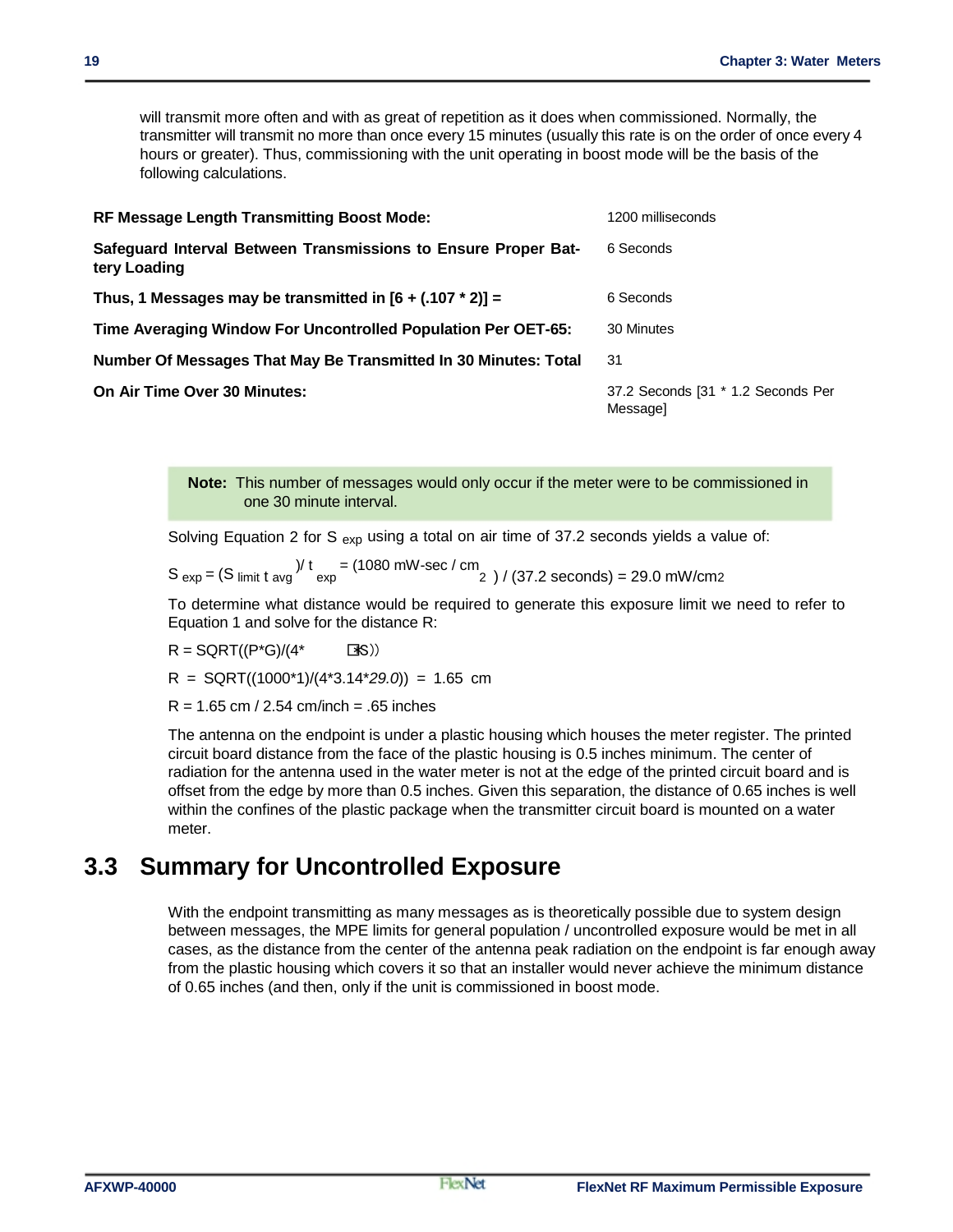will transmit more often and with as great of repetition as it does when commissioned. Normally, the transmitter will transmit no more than once every 15 minutes (usually this rate is on the order of once every 4 hours or greater). Thus, commissioning with the unit operating in boost mode will be the basis of the following calculations.

| <b>RF Message Length Transmitting Boost Mode:</b>                              | 1200 milliseconds                              |  |
|--------------------------------------------------------------------------------|------------------------------------------------|--|
| Safeguard Interval Between Transmissions to Ensure Proper Bat-<br>tery Loading | 6 Seconds                                      |  |
| Thus, 1 Messages may be transmitted in $[6 + (.107 * 2)] =$                    | 6 Seconds                                      |  |
| Time Averaging Window For Uncontrolled Population Per OET-65:                  | 30 Minutes                                     |  |
| Number Of Messages That May Be Transmitted In 30 Minutes: Total                | 31                                             |  |
| On Air Time Over 30 Minutes:                                                   | 37.2 Seconds [31 * 1.2 Seconds Per<br>Messagel |  |

**Note:** This number of messages would only occur if the meter were to be commissioned in one 30 minute interval.

Solving Equation 2 for S  $_{exp}$  using a total on air time of 37.2 seconds yields a value of:

 $S_{exp} = (S_{limit} t_{avg})^{\frac{1}{t}} = (1080 \text{ mW-sec} / \text{cm}^2) / (37.2 \text{ seconds}) = 29.0 \text{ mW/cm2}$ 

To determine what distance would be required to generate this exposure limit we need to refer to Equation 1 and solve for the distance R:

 $R = \text{SGRT}((P^*G)/(4^* \text{S}))$ 

R = SQRT((1000\*1)/(4\*3.14\**29.0*)) = 1.65 cm

 $R = 1.65$  cm / 2.54 cm/inch = .65 inches

The antenna on the endpoint is under a plastic housing which houses the meter register. The printed circuit board distance from the face of the plastic housing is 0.5 inches minimum. The center of radiation for the antenna used in the water meter is not at the edge of the printed circuit board and is offset from the edge by more than 0.5 inches. Given this separation, the distance of 0.65 inches is well within the confines of the plastic package when the transmitter circuit board is mounted on a water meter.

#### **3.3 Summary for Uncontrolled Exposure**

With the endpoint transmitting as many messages as is theoretically possible due to system design between messages, the MPE limits for general population / uncontrolled exposure would be met in all cases, as the distance from the center of the antenna peak radiation on the endpoint is far enough away from the plastic housing which covers it so that an installer would never achieve the minimum distance of 0.65 inches (and then, only if the unit is commissioned in boost mode.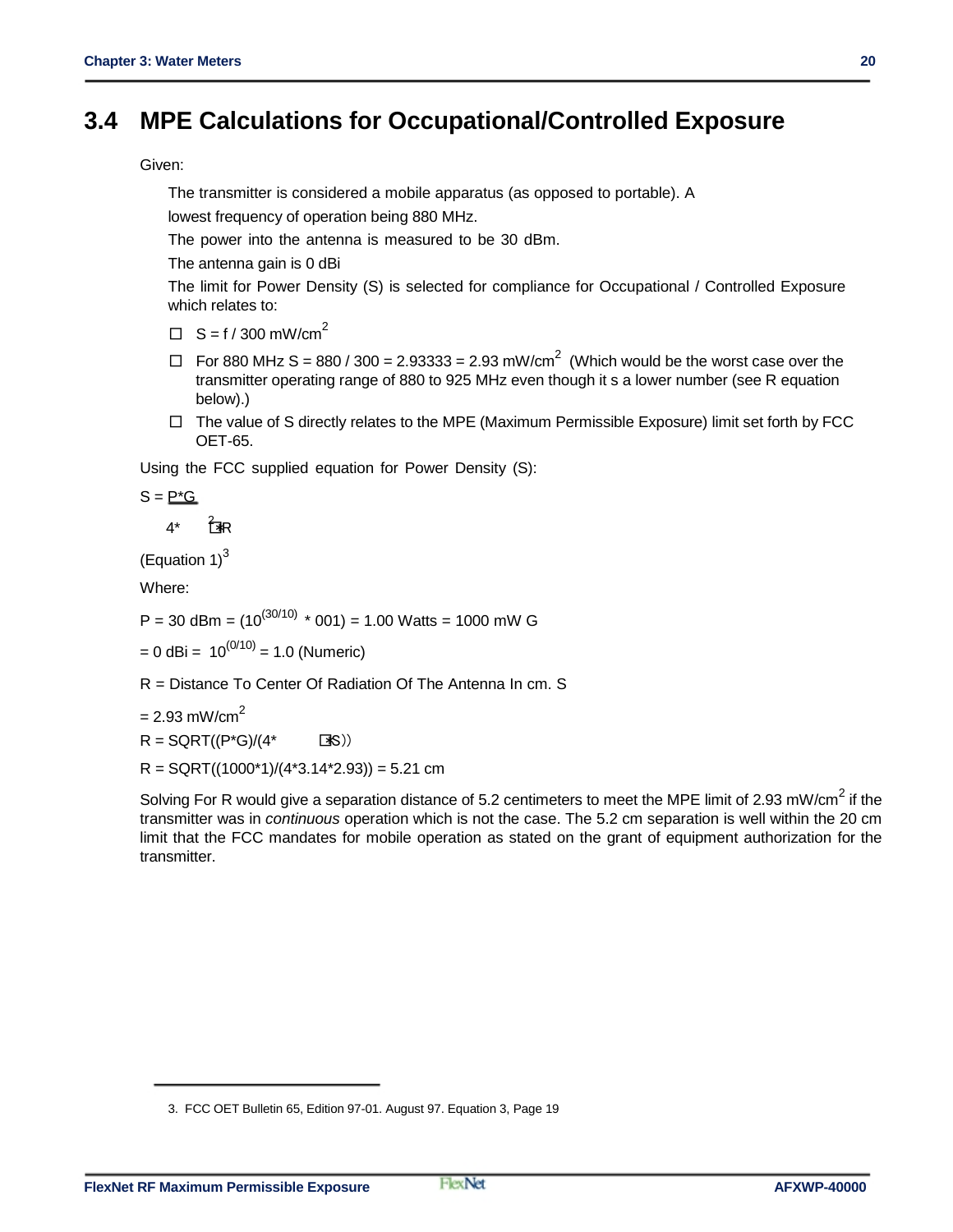### **3.4 MPE Calculations for Occupational/Controlled Exposure**

Given:

The transmitter is considered a mobile apparatus (as opposed to portable). A

lowest frequency of operation being 880 MHz.

The power into the antenna is measured to be 30 dBm.

The antenna gain is 0 dBi

The limit for Power Density (S) is selected for compliance for Occupational / Controlled Exposure which relates to:

- $\Box$  S = f / 300 mW/cm<sup>2</sup>
- $\Box$  For 880 MHz S = 880 / 300 = 2.93333 = 2.93 mW/cm<sup>2</sup> (Which would be the worst case over the transmitter operating range of 880 to 925 MHz even though it s a lower number (see R equation below).)
- $\Box$  The value of S directly relates to the MPE (Maximum Permissible Exposure) limit set forth by FCC OET-65.

Using the FCC supplied equation for Power Density (S):

 $S = P^*G$ 

 $4^*$   $7^*$ R

(Equation  $1$ )<sup>3</sup>

Where:

P = 30 dBm =  $(10^{(30/10) \times} 001)$  = 1.00 Watts = 1000 mW G

 $= 0$  dBi = 10<sup>(0/10)</sup> = 1.0 (Numeric)

R = Distance To Center Of Radiation Of The Antenna In cm. S

 $= 2.93$  mW/cm<sup>2</sup>

 $R = \text{SGRT}((P^*G)/(4^* \text{S}))$ 

 $R =$  SQRT((1000\*1)/(4\*3.14\*2.93)) = 5.21 cm

Solving For R would give a separation distance of 5.2 centimeters to meet the MPE limit of 2.93 mW/cm<sup>2</sup> if the transmitter was in *continuous* operation which is not the case. The 5.2 cm separation is well within the 20 cm limit that the FCC mandates for mobile operation as stated on the grant of equipment authorization for the transmitter.

<sup>3.</sup> FCC OET Bulletin 65, Edition 97-01. August 97. Equation 3, Page 19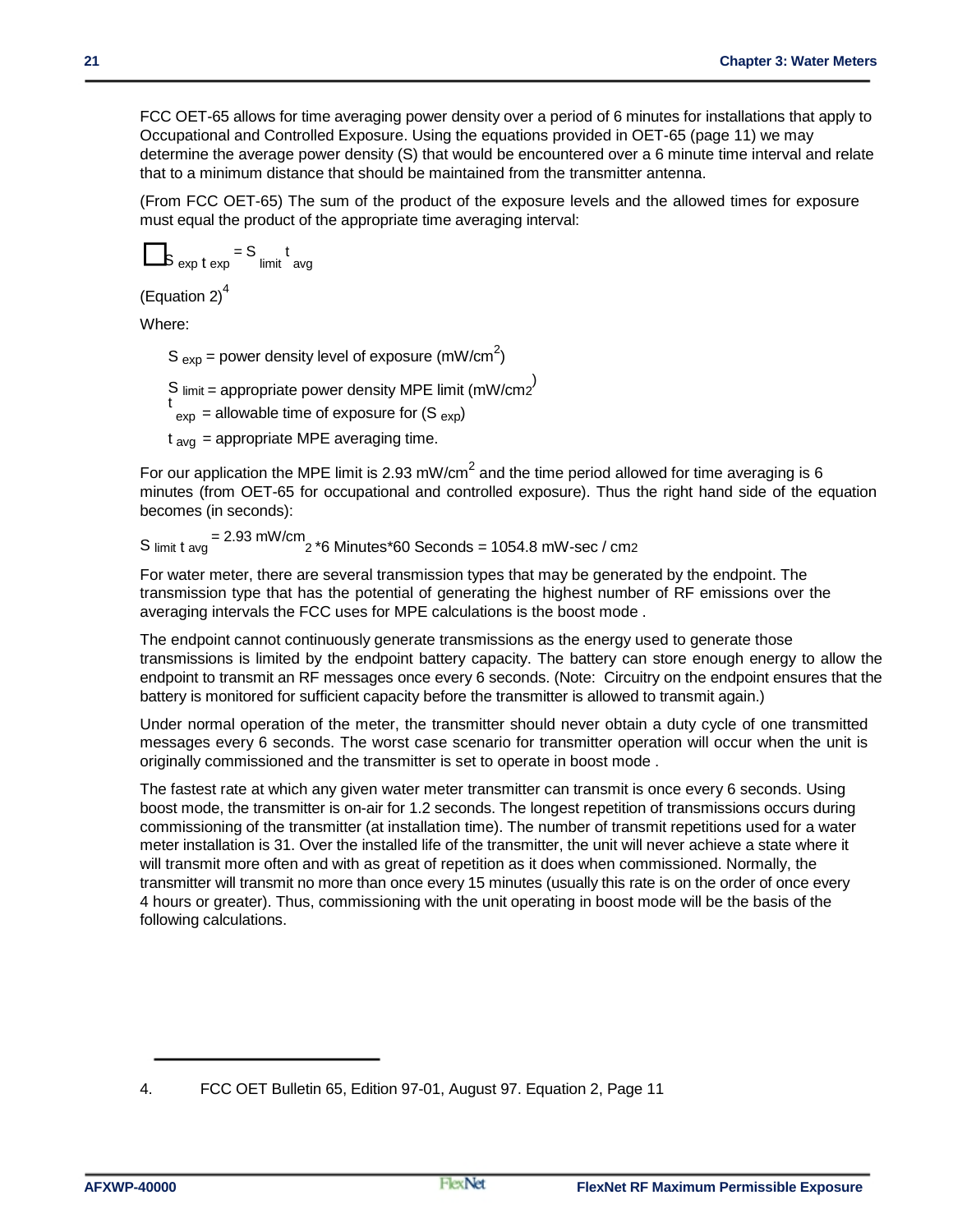FCC OET-65 allows for time averaging power density over a period of 6 minutes for installations that apply to Occupational and Controlled Exposure. Using the equations provided in OET-65 (page 11) we may determine the average power density (S) that would be encountered over a 6 minute time interval and relate that to a minimum distance that should be maintained from the transmitter antenna.

(From FCC OET-65) The sum of the product of the exposure levels and the allowed times for exposure must equal the product of the appropriate time averaging interval:

$$
s_{\exp t \exp t} = s_{\text{limit}} t_{\text{avg}}
$$

(Equation 2) $<sup>4</sup>$ </sup>

Where:

S  $_{exp}$  = power density level of exposure (mW/cm<sup>2</sup>)

S limit = appropriate power density MPE limit (mW/cm2<sup>)</sup>

 $t_{\text{exp}}$  = allowable time of exposure for (S  $_{\text{exp}}$ )

 $t_{\text{av}} =$  appropriate MPE averaging time.

For our application the MPE limit is 2.93 mW/cm<sup>2</sup> and the time period allowed for time averaging is 6 minutes (from OET-65 for occupational and controlled exposure). Thus the right hand side of the equation becomes (in seconds):

S  $_{\text{limit t avg}}$  = 2.93 mW/cm  $_{\text{2}}$  \*6 Minutes\*60 Seconds = 1054.8 mW-sec / cm2

For water meter, there are several transmission types that may be generated by the endpoint. The transmission type that has the potential of generating the highest number of RF emissions over the averaging intervals the FCC uses for MPE calculations is the boost mode .

The endpoint cannot continuously generate transmissions as the energy used to generate those transmissions is limited by the endpoint battery capacity. The battery can store enough energy to allow the endpoint to transmit an RF messages once every 6 seconds. (Note: Circuitry on the endpoint ensures that the battery is monitored for sufficient capacity before the transmitter is allowed to transmit again.)

Under normal operation of the meter, the transmitter should never obtain a duty cycle of one transmitted messages every 6 seconds. The worst case scenario for transmitter operation will occur when the unit is originally commissioned and the transmitter is set to operate in boost mode .

The fastest rate at which any given water meter transmitter can transmit is once every 6 seconds. Using boost mode, the transmitter is on-air for 1.2 seconds. The longest repetition of transmissions occurs during commissioning of the transmitter (at installation time). The number of transmit repetitions used for a water meter installation is 31. Over the installed life of the transmitter, the unit will never achieve a state where it will transmit more often and with as great of repetition as it does when commissioned. Normally, the transmitter will transmit no more than once every 15 minutes (usually this rate is on the order of once every 4 hours or greater). Thus, commissioning with the unit operating in boost mode will be the basis of the following calculations.

<sup>4.</sup> FCC OET Bulletin 65, Edition 97-01, August 97. Equation 2, Page 11